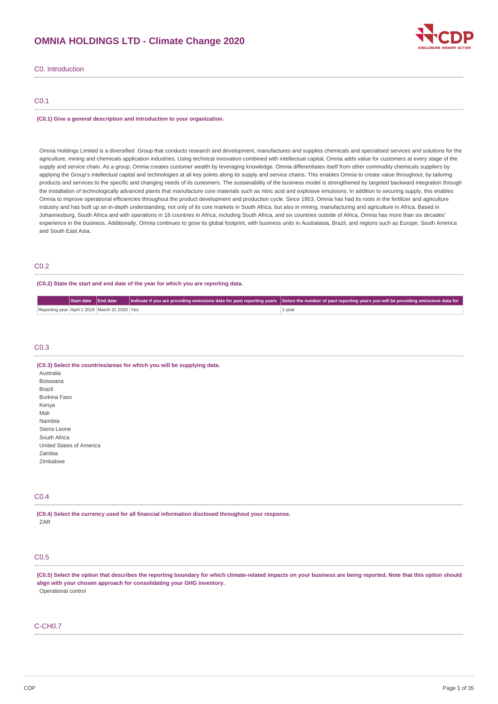# **OMNIA HOLDINGS LTD - Climate Change 2020**



C0. Introduction

# C0.1

#### **(C0.1) Give a general description and introduction to your organization.**

Omnia Holdings Limited is a diversified Group that conducts research and development, manufactures and supplies chemicals and specialised services and solutions for the agriculture, mining and chemicals application industries. Using technical innovation combined with intellectual capital, Omnia adds value for customers at every stage of the supply and service chain. As a group, Omnia creates customer wealth by leveraging knowledge. Omnia differentiates itself from other commodity chemicals suppliers by applying the Group's intellectual capital and technologies at all key points along its supply and service chains. This enables Omnia to create value throughout, by tailoring products and services to the specific and changing needs of its customers. The sustainability of the business model is strengthened by targeted backward integration through the installation of technologically advanced plants that manufacture core materials such as nitric acid and explosive emulsions. In addition to securing supply, this enables Omnia to improve operational efficiencies throughout the product development and production cycle. Since 1953, Omnia has had its roots in the fertilizer and agriculture industry and has built up an in-depth understanding, not only of its core markets in South Africa, but also in mining, manufacturing and agriculture in Africa. Based in Johannesburg, South Africa and with operations in 18 countries in Africa, including South Africa, and six countries outside of Africa, Omnia has more than six decades' experience in the business. Additionally, Omnia continues to grow its global footprint, with business units in Australasia, Brazil, and regions such as Europe, South America and South East Asia.

# C0.2

**(C0.2) State the start and end date of the year for which you are reporting data.**

|                                               | Start date End date |  | Indicate if you are providing emissions data for past reporting years Select the number of past reporting years you will be providing emissions data for |
|-----------------------------------------------|---------------------|--|----------------------------------------------------------------------------------------------------------------------------------------------------------|
| Reporting year April 1 2019 March 31 2020 Yes |                     |  | 1 year                                                                                                                                                   |

# C0.3

| (C0.3) Select the countries/areas for which you will be supplying data. |
|-------------------------------------------------------------------------|
| Australia                                                               |
| <b>Botswana</b>                                                         |
| Brazil                                                                  |
| Burkina Faso                                                            |
| Kenya                                                                   |
| Mali                                                                    |
| Namibia                                                                 |
| Sierra Leone                                                            |
| South Africa                                                            |
| United States of America                                                |
| Zambia                                                                  |
| Zimbabwe                                                                |
|                                                                         |

# C0.4

**(C0.4) Select the currency used for all financial information disclosed throughout your response.** ZAR

# C0.5

(C0.5) Select the option that describes the reporting boundary for which climate-related impacts on your business are being reported. Note that this option should **align with your chosen approach for consolidating your GHG inventory.** Operational control

# C-CH0.7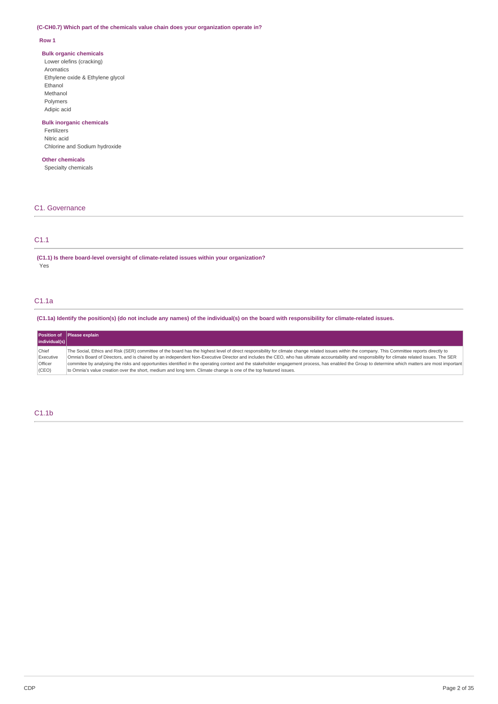## **(C-CH0.7) Which part of the chemicals value chain does your organization operate in?**

## **Row 1**

## **Bulk organic chemicals**

Lower olefins (cracking) Aromatics Ethylene oxide & Ethylene glycol Ethanol Methanol Polymers Adipic acid

# **Bulk inorganic chemicals**

Fertilizers Nitric acid Chlorine and Sodium hydroxide

# **Other chemicals**

Specialty chemicals

# C1. Governance

# C1.1

**(C1.1) Is there board-level oversight of climate-related issues within your organization?** Yes

# C1.1a

(C1.1a) Identify the position(s) (do not include any names) of the individual(s) on the board with responsibility for climate-related issues.

|             | Position of Please explain                                                                                                                                                                        |
|-------------|---------------------------------------------------------------------------------------------------------------------------------------------------------------------------------------------------|
| indivial(s) |                                                                                                                                                                                                   |
| Chief       | The Social, Ethics and Risk (SER) committee of the board has the highest level of direct responsibility for climate change related issues within the company. This Committee reports directly to  |
| Executive   | Omnia's Board of Directors, and is chaired by an independent Non-Executive Director and includes the CEO, who has ultimate accountability and responsibility for climate related issues. The SER  |
| Officer     | commitee by analysing the risks and opportunities identified in the operating context and the stakeholder engagement process, has enabled the Group to determine which matters are most important |
| (CEO)       | to Omnia's value creation over the short, medium and long term. Climate change is one of the top featured issues.                                                                                 |

# C1.1b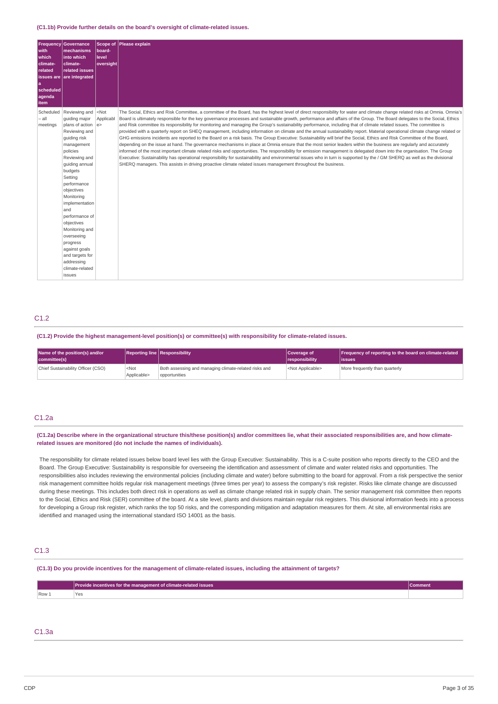#### **(C1.1b) Provide further details on the board's oversight of climate-related issues.**

| Frequency<br>with<br>which<br>climate-<br>related<br><b>issues</b> are<br>۱a<br>scheduled<br>agenda<br>item | <b>Governance</b><br>mechanisms<br>into which<br>climate-<br>related issues<br>are integrated                                                                                                                                                                                                                                                                                                                    | <b>Scope of</b><br>board-<br>level<br>oversight | Please explain                                                                                                                                                                                                                                                                                                                                                                                                                                                                                                                                                                                                                                                                                                                                                                                                                                                                                                                                                                                                                                                                                                                                                                                                                                                                                                                                                                                                                                                                                                                    |
|-------------------------------------------------------------------------------------------------------------|------------------------------------------------------------------------------------------------------------------------------------------------------------------------------------------------------------------------------------------------------------------------------------------------------------------------------------------------------------------------------------------------------------------|-------------------------------------------------|-----------------------------------------------------------------------------------------------------------------------------------------------------------------------------------------------------------------------------------------------------------------------------------------------------------------------------------------------------------------------------------------------------------------------------------------------------------------------------------------------------------------------------------------------------------------------------------------------------------------------------------------------------------------------------------------------------------------------------------------------------------------------------------------------------------------------------------------------------------------------------------------------------------------------------------------------------------------------------------------------------------------------------------------------------------------------------------------------------------------------------------------------------------------------------------------------------------------------------------------------------------------------------------------------------------------------------------------------------------------------------------------------------------------------------------------------------------------------------------------------------------------------------------|
| Scheduled<br>$-$ all<br>meetings                                                                            | Reviewing and<br>quiding major<br>plans of action $ e\rangle$<br>Reviewing and<br>quiding risk<br>management<br>policies<br>Reviewing and<br>quiding annual<br>budgets<br>Setting<br>performance<br>objectives<br>Monitoring<br>implementation<br>and<br>performance of<br>objectives<br>Monitoring and<br>overseeing<br>progress<br>against goals<br>and targets for<br>addressing<br>climate-related<br>issues | $<$ Not<br>Applicabl                            | The Social, Ethics and Risk Committee, a committee of the Board, has the highest level of direct responsibility for water and climate change related risks at Omnia. Omnia's<br>Board is ultimately responsible for the key governance processes and sustainable growth, performance and affairs of the Group. The Board delegates to the Social, Ethics<br>and Risk committee its responsibility for monitoring and managing the Group's sustainability performance, including that of climate related issues. The committee is<br>provided with a quarterly report on SHEO management, including information on climate and the annual sustainability report. Material operational climate change related or<br>GHG emissions incidents are reported to the Board on a risk basis. The Group Executive: Sustainability will brief the Social, Ethics and Risk Committee of the Board,<br>depending on the issue at hand. The governance mechanisms in place at Omnia ensure that the most senior leaders within the business are regularly and accurately<br>informed of the most important climate related risks and opportunities. The responsibility for emission management is delegated down into the organisation. The Group<br>Executive: Sustainability has operational responsibility for sustainability and environmental issues who in turn is supported by the / GM SHERO as well as the divisional<br>SHERO managers. This assists in driving proactive climate related issues management throughout the business. |

# C1.2

## **(C1.2) Provide the highest management-level position(s) or committee(s) with responsibility for climate-related issues.**

| Name of the position(s) and/or<br>committee(s) |                                 | <b>Reporting line Responsibility</b>                                   | Coverage of<br><i><u><b>I</b></u></i> responsibility | <b>Frequency of reporting to the board on climate-related</b><br>lissues |
|------------------------------------------------|---------------------------------|------------------------------------------------------------------------|------------------------------------------------------|--------------------------------------------------------------------------|
| Chief Sustainability Officer (CSO)             | <not<br>Applicable&gt;</not<br> | Both assessing and managing climate-related risks and<br>opportunities | <not applicable=""></not>                            | More frequently than quarterly                                           |

# C1.2a

## (C1.2a) Describe where in the organizational structure this/these position(s) and/or committees lie, what their associated responsibilities are, and how climate**related issues are monitored (do not include the names of individuals).**

The responsibility for climate related issues below board level lies with the Group Executive: Sustainability. This is a C-suite position who reports directly to the CEO and the Board. The Group Executive: Sustainability is responsible for overseeing the identification and assessment of climate and water related risks and opportunities. The responsibilities also includes reviewing the environmental policies (including climate and water) before submitting to the board for approval. From a risk perspective the senior risk management committee holds regular risk management meetings (three times per year) to assess the company's risk register. Risks like climate change are discussed during these meetings. This includes both direct risk in operations as well as climate change related risk in supply chain. The senior management risk committee then reports to the Social, Ethics and Risk (SER) committee of the board. At a site level, plants and divisions maintain regular risk registers. This divisional information feeds into a process for developing a Group risk register, which ranks the top 50 risks, and the corresponding mitigation and adaptation measures for them. At site, all environmental risks are identified and managed using the international standard ISO 14001 as the basis.

# C1.3

#### (C1.3) Do you provide incentives for the management of climate-related issues, including the attainment of targets?

| $\sqrt{$ Row $\sqrt{ }$ |  |
|-------------------------|--|

# C1.3a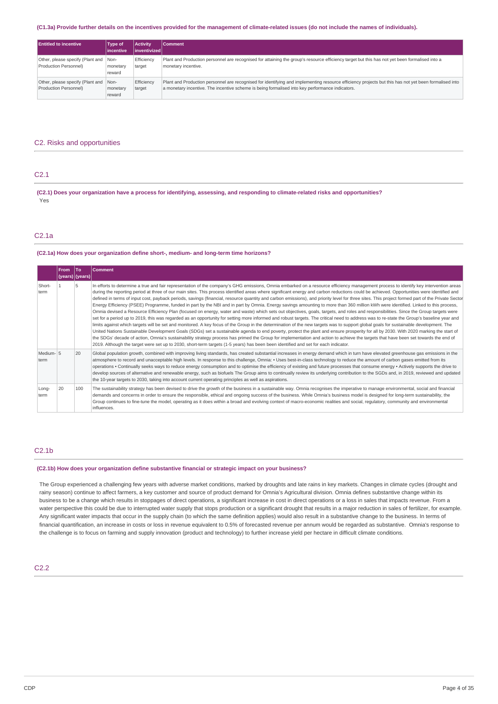#### (C1.3a) Provide further details on the incentives provided for the management of climate-related issues (do not include the names of individuals).

| <b>Entitled to incentive</b>          | Type of<br>lincentive | <b>Activity</b><br>l inventivized l | Comment                                                                                                                                               |
|---------------------------------------|-----------------------|-------------------------------------|-------------------------------------------------------------------------------------------------------------------------------------------------------|
| Other, please specify (Plant and Non- | monetary              | Efficiency                          | Plant and Production personnel are recognised for attaining the group's resource efficiency target but this has not yet been formalised into a        |
| Production Personnel)                 | reward                | target                              | monetary incentive.                                                                                                                                   |
| Other, please specify (Plant and Non- | monetary              | Efficiency                          | Plant and Production personnel are recognised for identifying and implementing resource efficiency projects but this has not yet been formalised into |
| Production Personnel)                 | reward                | target                              | a monetary incentive. The incentive scheme is being formalised into key performance indicators.                                                       |

# C2. Risks and opportunities

# C2.1

(C2.1) Does your organization have a process for identifying, assessing, and responding to climate-related risks and opportunities? Yes

# C2.1a

#### **(C2.1a) How does your organization define short-, medium- and long-term time horizons?**

|                   | <b>From</b> | <b>To</b><br>(years)   (years) | <b>Comment</b>                                                                                                                                                                                                                                                                                                                                                                                                                                                                                                                                                                                                                                                                                                                                                                                                                                                                                                                                                                                                                                                                                                                                                                                                                                                                                                                                                                                                                                                                                                                                                                                                                                                                                                                                                                                                                                                                  |
|-------------------|-------------|--------------------------------|---------------------------------------------------------------------------------------------------------------------------------------------------------------------------------------------------------------------------------------------------------------------------------------------------------------------------------------------------------------------------------------------------------------------------------------------------------------------------------------------------------------------------------------------------------------------------------------------------------------------------------------------------------------------------------------------------------------------------------------------------------------------------------------------------------------------------------------------------------------------------------------------------------------------------------------------------------------------------------------------------------------------------------------------------------------------------------------------------------------------------------------------------------------------------------------------------------------------------------------------------------------------------------------------------------------------------------------------------------------------------------------------------------------------------------------------------------------------------------------------------------------------------------------------------------------------------------------------------------------------------------------------------------------------------------------------------------------------------------------------------------------------------------------------------------------------------------------------------------------------------------|
| Short-<br>term    |             | 5                              | In efforts to determine a true and fair representation of the company's GHG emissions, Omnia embarked on a resource efficiency management process to identify key intervention areas<br>during the reporting period at three of our main sites. This process identified areas where significant energy and carbon reductions could be achieved. Opportunities were identified and<br>defined in terms of input cost, payback periods, savings (financial, resource quantity and carbon emissions), and priority level for three sites. This project formed part of the Private Sector<br>Energy Efficiency (PSEE) Programme, funded in part by the NBI and in part by Omnia. Energy savings amounting to more than 360 million kWh were identified. Linked to this process,<br>Omnia devised a Resource Efficiency Plan (focused on energy, water and waste) which sets out objectives, goals, targets, and roles and responsibilities. Since the Group targets were<br>set for a period up to 2019, this was regarded as an opportunity for setting more informed and robust targets. The critical need to address was to re-state the Group's baseline year and<br>limits against which targets will be set and monitored. A key focus of the Group in the determination of the new targets was to support global goals for sustainable development. The<br>United Nations Sustainable Development Goals (SDGs) set a sustainable agenda to end poverty, protect the plant and ensure prosperity for all by 2030. With 2020 marking the start of<br>the SDGs' decade of action, Omnia's sustainability strategy process has primed the Group for implementation and action to achieve the targets that have been set towards the end of<br>2019. Although the target were set up to 2030, short-term targets (1-5 years) has been been identified and set for each indicator. |
| Medium-15<br>term |             | 20                             | Global population growth, combined with improving living standards, has created substantial increases in energy demand which in turn have elevated greenhouse qas emissions in the<br>atmosphere to record and unacceptable high levels. In response to this challenge, Omnia: • Uses best-in-class technology to reduce the amount of carbon gases emitted from its<br>operations . Continually seeks ways to reduce energy consumption and to optimise the efficiency of existing and future processes that consume energy . Actively supports the drive to<br>develop sources of alternative and renewable energy, such as biofuels The Group aims to continually review its underlying contribution to the SGDs and, in 2019, reviewed and updated<br>the 10-year targets to 2030, taking into account current operating principles as well as aspirations.                                                                                                                                                                                                                                                                                                                                                                                                                                                                                                                                                                                                                                                                                                                                                                                                                                                                                                                                                                                                                 |
| Long-<br>term     | 20          | 100                            | The sustainability strategy has been devised to drive the growth of the business in a sustainable way. Omnia recognises the imperative to manage environmental, social and financial<br>demands and concerns in order to ensure the responsible, ethical and ongoing success of the business. While Omnia's business model is designed for long-term sustainability, the<br>Group continues to fine-tune the model, operating as it does within a broad and evolving context of macro-economic realities and social, regulatory, community and environmental<br>influences.                                                                                                                                                                                                                                                                                                                                                                                                                                                                                                                                                                                                                                                                                                                                                                                                                                                                                                                                                                                                                                                                                                                                                                                                                                                                                                     |

## C2.1b

#### **(C2.1b) How does your organization define substantive financial or strategic impact on your business?**

The Group experienced a challenging few years with adverse market conditions, marked by droughts and late rains in key markets. Changes in climate cycles (drought and rainy season) continue to affect farmers, a key customer and source of product demand for Omnia's Agricultural division. Omnia defines substantive change within its business to be a change which results in stoppages of direct operations, a significant increase in cost in direct operations or a loss in sales that impacts revenue. From a water perspective this could be due to interrupted water supply that stops production or a significant drought that results in a major reduction in sales of fertilizer, for example. Any significant water impacts that occur in the supply chain (to which the same definition applies) would also result in a substantive change to the business. In terms of financial quantification, an increase in costs or loss in revenue equivalent to 0.5% of forecasted revenue per annum would be regarded as substantive. Omnia's response to the challenge is to focus on farming and supply innovation (product and technology) to further increase yield per hectare in difficult climate conditions.

# C2.2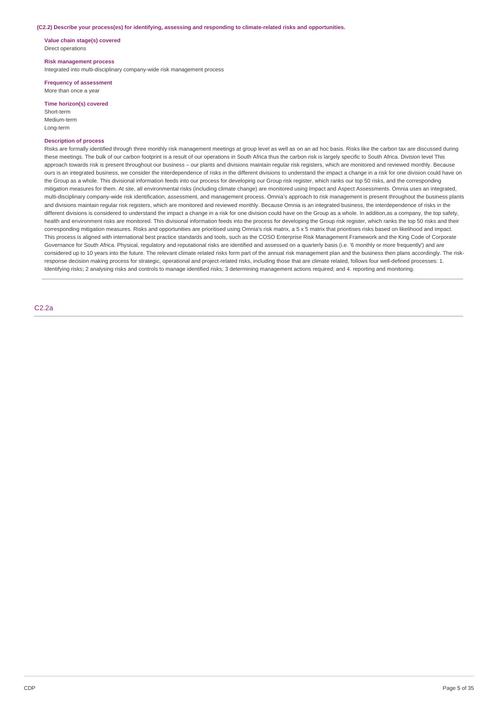#### **(C2.2) Describe your process(es) for identifying, assessing and responding to climate-related risks and opportunities.**

**Value chain stage(s) covered** Direct operations

## **Risk management process**

Integrated into multi-disciplinary company-wide risk management process

**Frequency of assessment** More than once a year

## **Time horizon(s) covered**

Short-term Medium-term Long-term

# **Description of process**

Risks are formally identified through three monthly risk management meetings at group level as well as on an ad hoc basis. Risks like the carbon tax are discussed during these meetings. The bulk of our carbon footprint is a result of our operations in South Africa thus the carbon risk is largely specific to South Africa. Division level This approach towards risk is present throughout our business – our plants and divisions maintain regular risk registers, which are monitored and reviewed monthly. Because ours is an integrated business, we consider the interdependence of risks in the different divisions to understand the impact a change in a risk for one division could have on the Group as a whole. This divisional information feeds into our process for developing our Group risk register, which ranks our top 50 risks, and the corresponding mitigation measures for them. At site, all environmental risks (including climate change) are monitored using Impact and Aspect Assessments. Omnia uses an integrated, multi-disciplinary company-wide risk identification, assessment, and management process. Omnia's approach to risk management is present throughout the business plants and divisions maintain regular risk registers, which are monitored and reviewed monthly. Because Omnia is an integrated business, the interdependence of risks in the different divisions is considered to understand the impact a change in a risk for one division could have on the Group as a whole. In addition,as a company, the top safety, health and environment risks are monitored. This divisional information feeds into the process for developing the Group risk register, which ranks the top 50 risks and their corresponding mitigation measures. Risks and opportunities are prioritised using Omnia's risk matrix, a 5 x 5 matrix that prioritises risks based on likelihood and impact. This process is aligned with international best practice standards and tools, such as the COSO Enterprise Risk Management Framework and the King Code of Corporate Governance for South Africa. Physical, regulatory and reputational risks are identified and assessed on a quarterly basis (i.e. '6 monthly or more frequently') and are considered up to 10 years into the future. The relevant climate related risks form part of the annual risk management plan and the business then plans accordingly. The riskresponse decision making process for strategic, operational and project-related risks, including those that are climate related, follows four well-defined processes: 1. Identifying risks; 2 analysing risks and controls to manage identified risks; 3 determining management actions required; and 4. reporting and monitoring.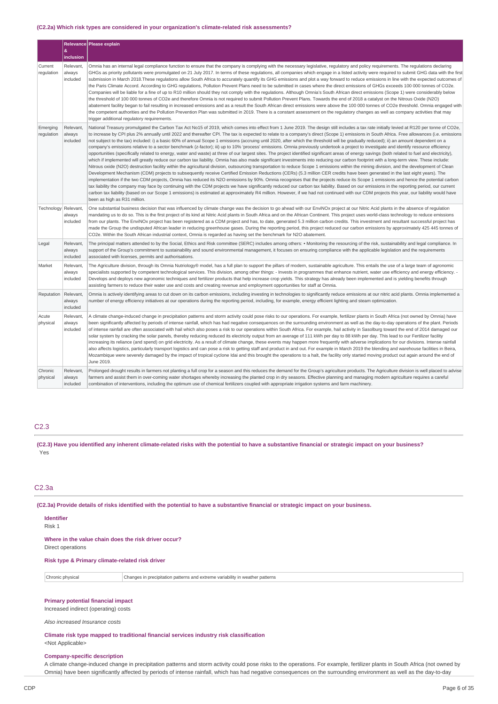## **(C2.2a) Which risk types are considered in your organization's climate-related risk assessments?**

|                        |                                 | Relevance Please explain                                                                                                                                                                                                                                                                                                                                                                                                                                                                                                                                                                                                                                                                                                                                                                                                                                                                                                                                                                                                                                                                                                                                                                                                                                                                                                                                                                                                                                                                                                                                                                                                                                                                                                                                                                                                                                                                                                                                                                                                                                                                                                                                                     |
|------------------------|---------------------------------|------------------------------------------------------------------------------------------------------------------------------------------------------------------------------------------------------------------------------------------------------------------------------------------------------------------------------------------------------------------------------------------------------------------------------------------------------------------------------------------------------------------------------------------------------------------------------------------------------------------------------------------------------------------------------------------------------------------------------------------------------------------------------------------------------------------------------------------------------------------------------------------------------------------------------------------------------------------------------------------------------------------------------------------------------------------------------------------------------------------------------------------------------------------------------------------------------------------------------------------------------------------------------------------------------------------------------------------------------------------------------------------------------------------------------------------------------------------------------------------------------------------------------------------------------------------------------------------------------------------------------------------------------------------------------------------------------------------------------------------------------------------------------------------------------------------------------------------------------------------------------------------------------------------------------------------------------------------------------------------------------------------------------------------------------------------------------------------------------------------------------------------------------------------------------|
|                        | &<br>inclusion                  |                                                                                                                                                                                                                                                                                                                                                                                                                                                                                                                                                                                                                                                                                                                                                                                                                                                                                                                                                                                                                                                                                                                                                                                                                                                                                                                                                                                                                                                                                                                                                                                                                                                                                                                                                                                                                                                                                                                                                                                                                                                                                                                                                                              |
| Current<br>regulation  | Relevant<br>always<br>included  | Omnia has an internal legal compliance function to ensure that the company is complying with the necessary legislative, regulatory and policy reguirements. The regulations declaring<br>GHGs as priority pollutants were promulgated on 21 July 2017. In terms of these regulations, all companies which engage in a listed activity were required to submit GHG data with the first<br>submission in March 2018. These requlations allow South Africa to accurately quantify its GHG emissions and plot a way forward to reduce emissions in line with the expected outcomes of<br>the Paris Climate Accord. According to GHG regulations, Pollution Prevent Plans need to be submitted in cases where the direct emissions of GHGs exceeds 100 000 tonnes of CO2e.<br>Companies will be liable for a fine of up to R10 million should they not comply with the regulations. Although Omnia's South African direct emissions (Scope 1) were considerably below<br>the threshold of 100 000 tonnes of CO2e and therefore Omnia is not required to submit Pollution Prevent Plans. Towards the end of 2018 a catalyst on the Nitrous Oxide (N2O)<br>abatement facility began to fail resulting in increased emissions and as a result the South African direct emissions were above the 100 000 tonnes of CO2e threshold. Omnia engaged with<br>the competent authorities and the Pollution Prevention Plan was submitted in 2019. There is a constant assessment on the regulatory changes as well as company activities that may<br>trigger additional regulatory requirements.                                                                                                                                                                                                                                                                                                                                                                                                                                                                                                                                                                                            |
| Emerging<br>regulation | Relevant<br>always<br>included  | National Treasury promulgated the Carbon Tax Act No15 of 2019, which comes into effect from 1 June 2019. The design still includes a tax rate initially levied at R120 per tonne of CO2e,<br>to increase by CPI plus 2% annually until 2022 and thereafter CPI. The tax is expected to relate to a company's direct (Scope 1) emissions in South Africa. Free allowances (i.e. emissions<br>not subject to the tax) included: i) a basic 60% of annual Scope 1 emissions (accruing until 2020, after which the threshold will be gradually reduced); ii) an amount dependent on a<br>company's emissions relative to a sector benchmark (z-factor); iii) up to 10% 'process' emissions. Omnia previously undertook a project to investigate and identify resource efficiency<br>opportunities (specifically related to energy, water and waste) at three of our largest sites. The project identified significant areas of energy savings (both related to fuel and electricity),<br>which if implemented will greatly reduce our carbon tax liability. Omnia has also made significant investments into reducing our carbon footprint with a long-term view. These include:<br>Nitrous oxide (N2O) destruction facility within the agricultural division, outsourcing transportation to reduce Scope 1 emissions within the mining division, and the development of Clean<br>Development Mechanism (CDM) projects to subsequently receive Certified Emission Reductions (CERs) (5.3 million CER credits have been generated in the last eight years). The<br>implementation if the two CDM projects, Omnia has reduced its N2O emissions by 90%. Omnia recognises that the projects reduce its Scope 1 emissions and hence the potential carbon<br>tax liability the company may face by continuing with the CDM projects we have significantly reduced our carbon tax liability. Based on our emissions in the reporting period, our current<br>carbon tax liability (based on our Scope 1 emissions) is estimated at approximately R4 million. However, if we had not continued with our CDM projects this year, our liability would have<br>been as high as R31 million. |
| Technology Relevant,   | always<br>included              | One substantial business decision that was influenced by climate change was the decision to go ahead with our EnviNOx project at our Nitric Acid plants in the absence of regulation<br>mandating us to do so. This is the first project of its kind at Nitric Acid plants in South Africa and on the African Continent. This project uses world-class technology to reduce emissions<br>from our plants. The EnviNOx project has been registered as a CDM project and has, to date, generated 5.3 million carbon credits. This investment and resultant successful project has<br>made the Group the undisputed African leader in reducing greenhouse gases. During the reporting period, this project reduced our carbon emissions by approximately 425 445 tonnes of<br>CO2e. Within the South African industrial context, Omnia is regarded as having set the benchmark for N2O abatement.                                                                                                                                                                                                                                                                                                                                                                                                                                                                                                                                                                                                                                                                                                                                                                                                                                                                                                                                                                                                                                                                                                                                                                                                                                                                               |
| Legal                  | Relevant,<br>always<br>included | The principal matters attended to by the Social, Ethics and Risk committee (SERC) includes among others: • Monitoring the resourcing of the risk, sustainability and legal compliance. In<br>support of the Group's commitment to sustainability and sound environmental management, it focuses on ensuring compliance with the applicable legislation and the requirements<br>associated with licenses, permits and authorisations.                                                                                                                                                                                                                                                                                                                                                                                                                                                                                                                                                                                                                                                                                                                                                                                                                                                                                                                                                                                                                                                                                                                                                                                                                                                                                                                                                                                                                                                                                                                                                                                                                                                                                                                                         |
| Market                 | Relevant<br>always<br>included  | The Agriculture division, through its Omnia Nutriology® model, has a full plan to support the pillars of modern, sustainable agriculture. This entails the use of a large team of agronomic<br>specialists supported by competent technological services. This division, among other things: - Invests in programmes that enhance nutrient, water use efficiency and energy efficiency. -<br>Develops and deploys new agronomic techniques and fertilizer products that help increase crop yields. This strategy has already been implemented and is yielding benefits through<br>assisting farmers to reduce their water use and costs and creating revenue and employment opportunities for staff at Omnia.                                                                                                                                                                                                                                                                                                                                                                                                                                                                                                                                                                                                                                                                                                                                                                                                                                                                                                                                                                                                                                                                                                                                                                                                                                                                                                                                                                                                                                                                |
| Reputation             | Relevant,<br>always<br>included | Omnia is actively identifying areas to cut down on its carbon emissions, including investing in technologies to significantly reduce emissions at our nitric acid plants. Omnia implemented a<br>number of energy efficiency initiatives at our operations during the reporting period, including, for example, energy efficient lighting and steam optimization.                                                                                                                                                                                                                                                                                                                                                                                                                                                                                                                                                                                                                                                                                                                                                                                                                                                                                                                                                                                                                                                                                                                                                                                                                                                                                                                                                                                                                                                                                                                                                                                                                                                                                                                                                                                                            |
| Acute<br>physical      | Relevant,<br>always<br>included | A climate change-induced change in precipitation patterns and storm activity could pose risks to our operations. For example, fertilizer plants in South Africa (not owned by Omnia) have<br>been significantly affected by periods of intense rainfall, which has had negative consequences on the surrounding environment as well as the day-to-day operations of the plant. Periods<br>of intense rainfall are often associated with hail which also poses a risk to our operations within South Africa. For example, hail activity in Sasolburg toward the end of 2014 damaged our<br>solar system by cracking the solar panels, thereby reducing reduced its electricity output from an average of 111 kWh per day to 88 kWh per day. This lead to our Fertilizer facility<br>increasing its reliance (and spend) on grid electricity. As a result of climate change, these events may happen more frequently with adverse implications for our divisions. Intense rainfall<br>also affects logistics, particularly transport logistics and can pose a risk to getting staff and product in and out. For example in March 2019 the blending and warehouse facilities in Beira,<br>Mozambique were severely damaged by the impact of tropical cyclone Idai and this brought the operations to a halt, the facility only started moving product out again around the end of<br>June 2019.                                                                                                                                                                                                                                                                                                                                                                                                                                                                                                                                                                                                                                                                                                                                                                                 |
| Chronic<br>physical    | Relevant,<br>always<br>included | Prolonged drought results in farmers not planting a full crop for a season and this reduces the demand for the Group's agriculture products. The Agriculture division is well placed to advise<br>farmers and assist them in over-coming water shortages whereby increasing the planted crop in dry seasons. Effective planning and managing modern agriculture requires a careful<br>combination of interventions, including the optimum use of chemical fertilizers coupled with appropriate irrigation systems and farm machinery.                                                                                                                                                                                                                                                                                                                                                                                                                                                                                                                                                                                                                                                                                                                                                                                                                                                                                                                                                                                                                                                                                                                                                                                                                                                                                                                                                                                                                                                                                                                                                                                                                                        |

# C2.3

(C2.3) Have you identified any inherent climate-related risks with the potential to have a substantive financial or strategic impact on your business? Yes

# C2.3a

(C2.3a) Provide details of risks identified with the potential to have a substantive financial or strategic impact on your business.

| Identifier |  |
|------------|--|
| Risk 1     |  |

#### **Where in the value chain does the risk driver occur?**

Direct operations

#### **Risk type & Primary climate-related risk driver**

| Chronic physical | Changes in precipitation patterns and extreme variability in weather patterns |
|------------------|-------------------------------------------------------------------------------|
|                  |                                                                               |
|                  |                                                                               |
|                  |                                                                               |

## **Primary potential financial impact**

Increased indirect (operating) costs

*Also increased Insurance costs*

## **Climate risk type mapped to traditional financial services industry risk classification** <Not Applicable>

# **Company-specific description**

A climate change-induced change in precipitation patterns and storm activity could pose risks to the operations. For example, fertilizer plants in South Africa (not owned by Omnia) have been significantly affected by periods of intense rainfall, which has had negative consequences on the surrounding environment as well as the day-to-day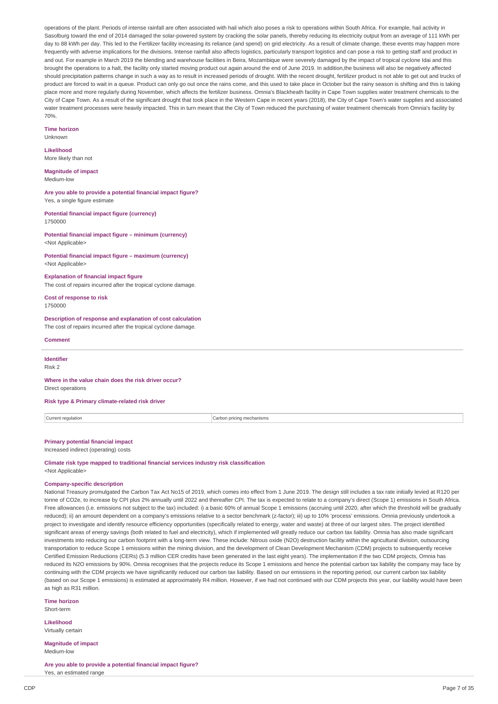operations of the plant. Periods of intense rainfall are often associated with hail which also poses a risk to operations within South Africa. For example, hail activity in Sasolburg toward the end of 2014 damaged the solar-powered system by cracking the solar panels, thereby reducing its electricity output from an average of 111 kWh per day to 88 kWh per day. This led to the Fertilizer facility increasing its reliance (and spend) on grid electricity. As a result of climate change, these events may happen more frequently with adverse implications for the divisions. Intense rainfall also affects logistics, particularly transport logistics and can pose a risk to getting staff and product in and out. For example in March 2019 the blending and warehouse facilities in Beira, Mozambique were severely damaged by the impact of tropical cyclone Idai and this brought the operations to a halt, the facility only started moving product out again around the end of June 2019. In addition,the business will also be negatively affected should precipitation patterns change in such a way as to result in increased periods of drought. With the recent drought, fertilizer product is not able to get out and trucks of product are forced to wait in a queue. Product can only go out once the rains come, and this used to take place in October but the rainy season is shifting and this is taking place more and more regularly during November, which affects the fertilizer business. Omnia's Blackheath facility in Cape Town supplies water treatment chemicals to the City of Cape Town. As a result of the significant drought that took place in the Western Cape in recent years (2018), the City of Cape Town's water supplies and associated water treatment processes were heavily impacted. This in turn meant that the City of Town reduced the purchasing of water treatment chemicals from Omnia's facility by 70%.

#### **Time horizon**

Unknown

## **Likelihood** More likely than not

**Magnitude of impact** Medium-low

**Are you able to provide a potential financial impact figure?** Yes, a single figure estimate

**Potential financial impact figure (currency)** 1750000

**Potential financial impact figure – minimum (currency)** <Not Applicable>

#### **Potential financial impact figure – maximum (currency)** <Not Applicable>

**Explanation of financial impact figure** The cost of repairs incurred after the tropical cyclone damage.

**Cost of response to risk** 1750000

#### **Description of response and explanation of cost calculation**

The cost of repairs incurred after the tropical cyclone damage.

#### **Comment**

**Identifier** Risk 2

**Where in the value chain does the risk driver occur?** Direct operations

**Risk type & Primary climate-related risk driver**

Current regulation Carbon pricing mechanisms

**Primary potential financial impact**

# Increased indirect (operating) costs

**Climate risk type mapped to traditional financial services industry risk classification** <Not Applicable>

# **Company-specific description**

National Treasury promulgated the Carbon Tax Act No15 of 2019, which comes into effect from 1 June 2019. The design still includes a tax rate initially levied at R120 per tonne of CO2e, to increase by CPI plus 2% annually until 2022 and thereafter CPI. The tax is expected to relate to a company's direct (Scope 1) emissions in South Africa. Free allowances (i.e. emissions not subject to the tax) included: i) a basic 60% of annual Scope 1 emissions (accruing until 2020, after which the threshold will be gradually reduced); ii) an amount dependent on a company's emissions relative to a sector benchmark (z-factor); iii) up to 10% 'process' emissions. Omnia previously undertook a project to investigate and identify resource efficiency opportunities (specifically related to energy, water and waste) at three of our largest sites. The project identified significant areas of energy savings (both related to fuel and electricity), which if implemented will greatly reduce our carbon tax liability. Omnia has also made significant investments into reducing our carbon footprint with a long-term view. These include: Nitrous oxide (N2O) destruction facility within the agricultural division, outsourcing transportation to reduce Scope 1 emissions within the mining division, and the development of Clean Development Mechanism (CDM) projects to subsequently receive Certified Emission Reductions (CERs) (5.3 million CER credits have been generated in the last eight years). The implementation if the two CDM projects, Omnia has reduced its N2O emissions by 90%. Omnia recognises that the projects reduce its Scope 1 emissions and hence the potential carbon tax liability the company may face by continuing with the CDM projects we have significantly reduced our carbon tax liability. Based on our emissions in the reporting period, our current carbon tax liability (based on our Scope 1 emissions) is estimated at approximately R4 million. However, if we had not continued with our CDM projects this year, our liability would have been as high as R31 million.

**Time horizon** Short-term

**Likelihood** Virtually certain

**Magnitude of impact** Medium-low

**Are you able to provide a potential financial impact figure?** Yes, an estimated range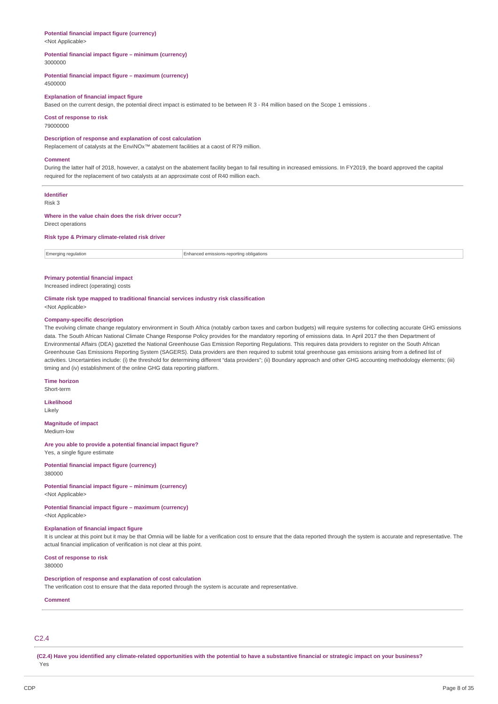#### **Potential financial impact figure (currency)** <Not Applicable>

#### **Potential financial impact figure – minimum (currency)** 3000000

#### **Potential financial impact figure – maximum (currency)** 4500000

#### **Explanation of financial impact figure**

Based on the current design, the potential direct impact is estimated to be between R 3 - R4 million based on the Scope 1 emissions .

# **Cost of response to risk**

79000000

## **Description of response and explanation of cost calculation**

Replacement of catalysts at the EnviNOx™ abatement facilities at a caost of R79 million.

#### **Comment**

During the latter half of 2018, however, a catalyst on the abatement facility began to fail resulting in increased emissions. In FY2019, the board approved the capital required for the replacement of two catalysts at an approximate cost of R40 million each.

# **Identifier**

Risk 3

### **Where in the value chain does the risk driver occur?**

Direct operations

## **Risk type & Primary climate-related risk driver**

Emerging regulation Enhanced emissions-reporting obligations

# **Primary potential financial impact**

Increased indirect (operating) costs

# **Climate risk type mapped to traditional financial services industry risk classification**

# <Not Applicable>

#### **Company-specific description**

The evolving climate change regulatory environment in South Africa (notably carbon taxes and carbon budgets) will require systems for collecting accurate GHG emissions data. The South African National Climate Change Response Policy provides for the mandatory reporting of emissions data. In April 2017 the then Department of Environmental Affairs (DEA) gazetted the National Greenhouse Gas Emission Reporting Regulations. This requires data providers to register on the South African Greenhouse Gas Emissions Reporting System (SAGERS). Data providers are then required to submit total greenhouse gas emissions arising from a defined list of activities. Uncertainties include: (i) the threshold for determining different "data providers"; (ii) Boundary approach and other GHG accounting methodology elements; (iii) timing and (iv) establishment of the online GHG data reporting platform.

### **Time horizon**

Short-term

# **Likelihood**

Likely

#### **Magnitude of impact** Medium-low

**Are you able to provide a potential financial impact figure?** Yes, a single figure estimate

# **Potential financial impact figure (currency)**

380000

# **Potential financial impact figure – minimum (currency)**

<Not Applicable>

# **Potential financial impact figure – maximum (currency)**

<Not Applicable>

# **Explanation of financial impact figure**

It is unclear at this point but it may be that Omnia will be liable for a verification cost to ensure that the data reported through the system is accurate and representative. The actual financial implication of verification is not clear at this point.

**Cost of response to risk** 380000

## **Description of response and explanation of cost calculation**

The verification cost to ensure that the data reported through the system is accurate and representative.

#### **Comment**

# C2.4

(C2.4) Have you identified any climate-related opportunities with the potential to have a substantive financial or strategic impact on your business? Yes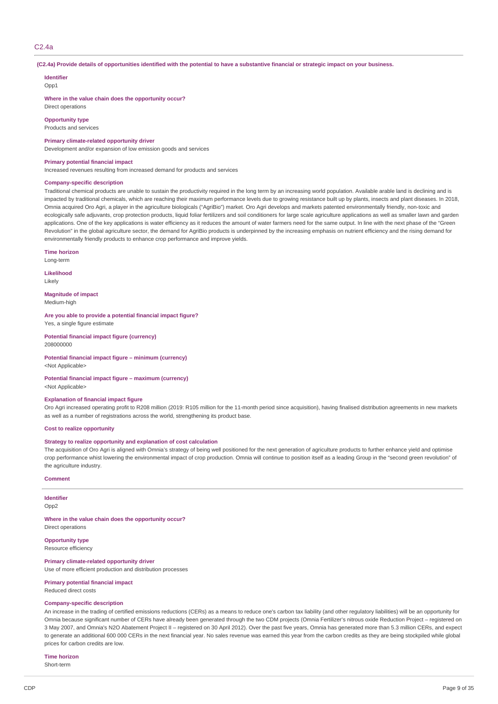#### C2.4a

(C2.4a) Provide details of opportunities identified with the potential to have a substantive financial or strategic impact on your business.

# **Identifier**

Opp1

**Where in the value chain does the opportunity occur?** Direct operations

**Opportunity type**

Products and services

**Primary climate-related opportunity driver**

Development and/or expansion of low emission goods and services

### **Primary potential financial impact**

Increased revenues resulting from increased demand for products and services

#### **Company-specific description**

Traditional chemical products are unable to sustain the productivity required in the long term by an increasing world population. Available arable land is declining and is impacted by traditional chemicals, which are reaching their maximum performance levels due to growing resistance built up by plants, insects and plant diseases. In 2018, Omnia acquired Oro Agri, a player in the agriculture biologicals ("AgriBio") market. Oro Agri develops and markets patented environmentally friendly, non-toxic and ecologically safe adjuvants, crop protection products, liquid foliar fertilizers and soil conditioners for large scale agriculture applications as well as smaller lawn and garden applications. One of the key applications is water efficiency as it reduces the amount of water farmers need for the same output. In line with the next phase of the "Green Revolution" in the global agriculture sector, the demand for AgriBio products is underpinned by the increasing emphasis on nutrient efficiency and the rising demand for environmentally friendly products to enhance crop performance and improve yields.

**Time horizon**

Long-term

**Likelihood**

Likely

**Magnitude of impact** Medium-high

**Are you able to provide a potential financial impact figure?** Yes, a single figure estimate

**Potential financial impact figure (currency)** 208000000

**Potential financial impact figure – minimum (currency)** <Not Applicable>

**Potential financial impact figure – maximum (currency)**

<Not Applicable>

#### **Explanation of financial impact figure**

Oro Agri increased operating profit to R208 million (2019: R105 million for the 11-month period since acquisition), having finalised distribution agreements in new markets as well as a number of registrations across the world, strengthening its product base.

#### **Cost to realize opportunity**

#### **Strategy to realize opportunity and explanation of cost calculation**

The acquisition of Oro Agri is aligned with Omnia's strategy of being well positioned for the next generation of agriculture products to further enhance yield and optimise crop performance whist lowering the environmental impact of crop production. Omnia will continue to position itself as a leading Group in the "second green revolution" of the agriculture industry.

# **Comment**

**Identifier** Opp2

**Where in the value chain does the opportunity occur?** Direct operations

**Opportunity type** Resource efficiency

**Primary climate-related opportunity driver** Use of more efficient production and distribution processes

### **Primary potential financial impact**

Reduced direct costs

#### **Company-specific description**

An increase in the trading of certified emissions reductions (CERs) as a means to reduce one's carbon tax liability (and other regulatory liabilities) will be an opportunity for Omnia because significant number of CERs have already been generated through the two CDM projects (Omnia Fertilizer's nitrous oxide Reduction Project – registered on 3 May 2007, and Omnia's N2O Abatement Project II – registered on 30 April 2012). Over the past five years, Omnia has generated more than 5.3 million CERs, and expect to generate an additional 600 000 CERs in the next financial year. No sales revenue was earned this year from the carbon credits as they are being stockpiled while global prices for carbon credits are low.

**Time horizon**

Short-term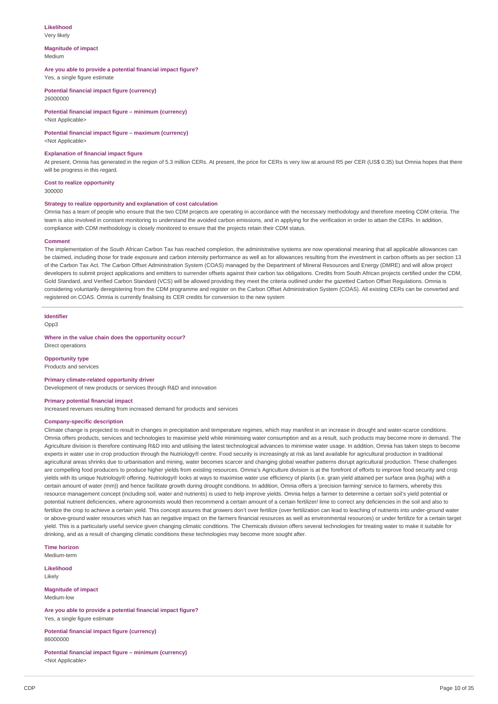# **Likelihood**

Very likely

#### **Magnitude of impact** Medium

# **Are you able to provide a potential financial impact figure?**

Yes, a single figure estimate

**Potential financial impact figure (currency)** 26000000

**Potential financial impact figure – minimum (currency)** <Not Applicable>

## **Potential financial impact figure – maximum (currency)**

<Not Applicable>

### **Explanation of financial impact figure**

At present, Omnia has generated in the region of 5.3 million CERs. At present, the price for CERs is very low at around R5 per CER (US\$ 0.35) but Omnia hopes that there will be progress in this regard.

#### **Cost to realize opportunity**

300000

### **Strategy to realize opportunity and explanation of cost calculation**

Omnia has a team of people who ensure that the two CDM projects are operating in accordance with the necessary methodology and therefore meeting CDM criteria. The team is also involved in constant monitoring to understand the avoided carbon emissions, and in applying for the verification in order to attain the CERs. In addition, compliance with CDM methodology is closely monitored to ensure that the projects retain their CDM status.

#### **Comment**

The implementation of the South African Carbon Tax has reached completion, the administrative systems are now operational meaning that all applicable allowances can be claimed, including those for trade exposure and carbon intensity performance as well as for allowances resulting from the investment in carbon offsets as per section 13 of the Carbon Tax Act. The Carbon Offset Administration System (COAS) managed by the Department of Mineral Resources and Energy (DMRE) and will allow project developers to submit project applications and emitters to surrender offsets against their carbon tax obligations. Credits from South African projects certified under the CDM. Gold Standard, and Verified Carbon Standard (VCS) will be allowed providing they meet the criteria outlined under the gazetted Carbon Offset Regulations. Omnia is considering voluntarily deregistering from the CDM programme and register on the Carbon Offset Administration System (COAS). All existing CERs can be converted and registered on COAS. Omnia is currently finalising its CER credits for conversion to the new system

#### **Identifier**

Opp3

## **Where in the value chain does the opportunity occur?**

Direct operations

## **Opportunity type**

Products and services

# **Primary climate-related opportunity driver**

Development of new products or services through R&D and innovation

#### **Primary potential financial impact**

Increased revenues resulting from increased demand for products and services

#### **Company-specific description**

Climate change is projected to result in changes in precipitation and temperature regimes, which may manifest in an increase in drought and water-scarce conditions. Omnia offers products, services and technologies to maximise yield while minimising water consumption and as a result, such products may become more in demand. The Agriculture division is therefore continuing R&D into and utilising the latest technological advances to minimise water usage. In addition, Omnia has taken steps to become experts in water use in crop production through the Nutriology® centre. Food security is increasingly at risk as land available for agricultural production in traditional agricultural areas shrinks due to urbanisation and mining, water becomes scarcer and changing global weather patterns disrupt agricultural production. These challenges are compelling food producers to produce higher yields from existing resources. Omnia's Agriculture division is at the forefront of efforts to improve food security and crop yields with its unique Nutriology® offering. Nutriology® looks at ways to maximise water use efficiency of plants (i.e. grain yield attained per surface area (kg/ha) with a certain amount of water (mm)) and hence facilitate growth during drought conditions. In addition, Omnia offers a 'precision farming' service to farmers, whereby this resource management concept (including soil, water and nutrients) is used to help improve yields. Omnia helps a farmer to determine a certain soil's yield potential or potential nutrient deficiencies, where agronomists would then recommend a certain amount of a certain fertilizer/ lime to correct any deficiencies in the soil and also to fertilize the crop to achieve a certain yield. This concept assures that growers don't over fertilize (over fertilization can lead to leaching of nutrients into under-ground water or above-ground water resources which has an negative impact on the farmers financial resources as well as environmental resources) or under fertilize for a certain target yield. This is a particularly useful service given changing climatic conditions. The Chemicals division offers several technologies for treating water to make it suitable for drinking, and as a result of changing climatic conditions these technologies may become more sought after.

**Time horizon** Medium-term

**Likelihood** Likely

**Magnitude of impact**

Medium-low

**Are you able to provide a potential financial impact figure?** Yes, a single figure estimate

**Potential financial impact figure (currency)** 86000000

**Potential financial impact figure – minimum (currency)** <Not Applicable>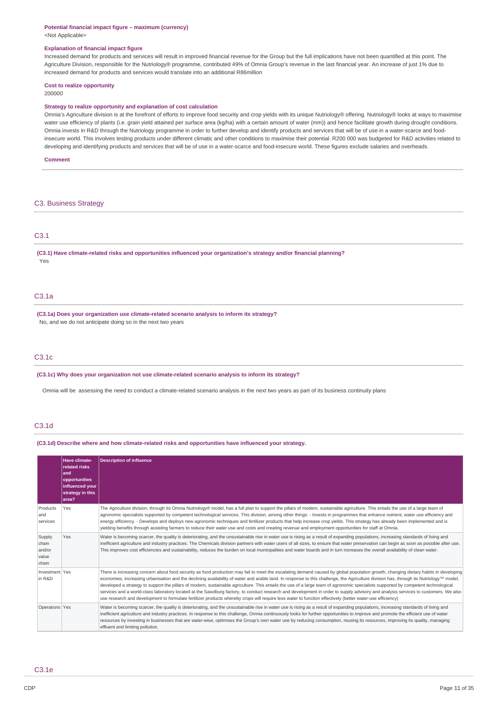#### **Potential financial impact figure – maximum (currency)** <Not Applicable>

#### **Explanation of financial impact figure**

Increased demand for products and services will result in improved financial revenue for the Group but the full implications have not been quantified at this point. The Agriculture Division, responsible for the Nutriology® programme, contributed 49% of Omnia Group's revenue in the last financial year. An increase of just 1% due to increased demand for products and services would translate into an additional R86million

#### **Cost to realize opportunity**

200000

## **Strategy to realize opportunity and explanation of cost calculation**

Omnia's Agriculture division is at the forefront of efforts to improve food security and crop yields with its unique Nutriology® offering. Nutriology® looks at ways to maximise water use efficiency of plants (i.e. grain yield attained per surface area (kg/ha) with a certain amount of water (mm)) and hence facilitate growth during drought conditions. Omnia invests in R&D through the Nutriology programme in order to further develop and identify products and services that will be of use in a water-scarce and foodinsecure world. This involves testing products under different climatic and other conditions to maximise their potential. R200 000 was budgeted for R&D activities related to developing and identifying products and services that will be of use in a water-scarce and food-insecure world. These figures exclude salaries and overheads.

# **Comment**

C3. Business Strategy

# C3.1

**(C3.1) Have climate-related risks and opportunities influenced your organization's strategy and/or financial planning?** Yes

# C3.1a

**(C3.1a) Does your organization use climate-related scenario analysis to inform its strategy?** No, and we do not anticipate doing so in the next two years

# C3.1c

**(C3.1c) Why does your organization not use climate-related scenario analysis to inform its strategy?**

Omnia will be assessing the need to conduct a climate-related scenario analysis in the next two years as part of its business continuity plans

# C3.1d

**(C3.1d) Describe where and how climate-related risks and opportunities have influenced your strategy.**

|                                             | Have climate-<br>related risks<br>land<br>opportunities<br>influenced your<br>strategy in this<br>larea? | <b>Description of influence</b>                                                                                                                                                                                                                                                                                                                                                                                                                                                                                                                                                                                                                                                                                                                                                                                                                                                                                          |
|---------------------------------------------|----------------------------------------------------------------------------------------------------------|--------------------------------------------------------------------------------------------------------------------------------------------------------------------------------------------------------------------------------------------------------------------------------------------------------------------------------------------------------------------------------------------------------------------------------------------------------------------------------------------------------------------------------------------------------------------------------------------------------------------------------------------------------------------------------------------------------------------------------------------------------------------------------------------------------------------------------------------------------------------------------------------------------------------------|
| Products<br>and<br>services                 | Yes                                                                                                      | The Agriculture division, through its Omnia Nutriology® model, has a full plan to support the pillars of modern, sustainable agriculture. This entails the use of a large team of<br>agronomic specialists supported by competent technological services. This division, among other things: - Invests in programmes that enhance nutrient, water use efficiency and<br>energy efficiency. - Develops and deploys new agronomic techniques and fertilizer products that help increase crop yields. This strategy has already been implemented and is<br>yielding benefits through assisting farmers to reduce their water use and costs and creating revenue and employment opportunities for staff at Omnia.                                                                                                                                                                                                            |
| Supply<br>chain<br>and/or<br>value<br>chain | Yes                                                                                                      | Water is becoming scarcer, the quality is deteriorating, and the unsustainable rise in water use is rising as a result of expanding populations, increasing standards of living and<br>inefficient agriculture and industry practices. The Chemicals division partners with water users of all sizes, to ensure that water preservation can begin as soon as possible after use.<br>This improves cost efficiencies and sustainability, reduces the burden on local municipalities and water boards and in turn increases the overall availability of clean water.                                                                                                                                                                                                                                                                                                                                                       |
| Investment Yes<br>in R&D                    |                                                                                                          | There is increasing concern about food security as food production may fail to meet the escalating demand caused by global population growth, changing dietary habits in developing<br>economies, increasing urbanisation and the declining availability of water and arable land. In response to this challenge, the Agriculture division has, through its Nutriology™ model,<br>developed a strategy to support the pillars of modern, sustainable agriculture. This entails the use of a large team of agronomic specialists supported by competent technological<br>services and a world-class laboratory located at the Sasolburg factory, to conduct research and development in order to supply advisory and analysis services to customers. We also<br>use research and development to formulate fertilizer products whereby crops will require less water to function effectively (better water-use efficiency) |
| Operations Yes                              |                                                                                                          | Water is becoming scarcer, the quality is deteriorating, and the unsustainable rise in water use is rising as a result of expanding populations, increasing standards of living and<br>inefficient agriculture and industry practices. In response to this challenge, Omnia continuously looks for further opportunities to improve and promote the efficient use of water<br>resources by investing in businesses that are water-wise, optimises the Group's own water use by reducing consumption, reusing its resources, improving its quality, managing<br>effluent and limiting pollution.                                                                                                                                                                                                                                                                                                                          |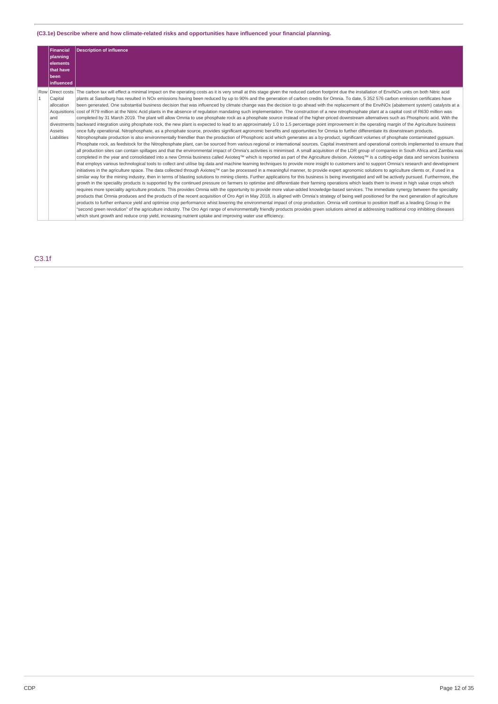# **(C3.1e) Describe where and how climate-related risks and opportunities have influenced your financial planning.**

| <b>Financial</b><br>planning<br>elements<br>that have<br>been<br>influenced | <b>Description of influence</b>                                                                                                                                                                                                                                                                                                                                                                                                                                                                                                                                                                                                                                                                                                                                                                                                                                                                                                                                                                                                                                                                                                                                                                                                                                                                                                                                                                                                                                                                                                                                                                                                                                                                                                                                                                                                                                                                                                                                                                                                                                                                                                                                                                                                                                                                                                                                                                                                                                                                                                                                                                                                                                                                                                                                                                                                                                                                                                                                                                                                                                                                                                                                                                                                                                                                                                                                                                                                                                                                                                                                                                                                                                                                                                                                                                                                                                                                                                                                           |
|-----------------------------------------------------------------------------|---------------------------------------------------------------------------------------------------------------------------------------------------------------------------------------------------------------------------------------------------------------------------------------------------------------------------------------------------------------------------------------------------------------------------------------------------------------------------------------------------------------------------------------------------------------------------------------------------------------------------------------------------------------------------------------------------------------------------------------------------------------------------------------------------------------------------------------------------------------------------------------------------------------------------------------------------------------------------------------------------------------------------------------------------------------------------------------------------------------------------------------------------------------------------------------------------------------------------------------------------------------------------------------------------------------------------------------------------------------------------------------------------------------------------------------------------------------------------------------------------------------------------------------------------------------------------------------------------------------------------------------------------------------------------------------------------------------------------------------------------------------------------------------------------------------------------------------------------------------------------------------------------------------------------------------------------------------------------------------------------------------------------------------------------------------------------------------------------------------------------------------------------------------------------------------------------------------------------------------------------------------------------------------------------------------------------------------------------------------------------------------------------------------------------------------------------------------------------------------------------------------------------------------------------------------------------------------------------------------------------------------------------------------------------------------------------------------------------------------------------------------------------------------------------------------------------------------------------------------------------------------------------------------------------------------------------------------------------------------------------------------------------------------------------------------------------------------------------------------------------------------------------------------------------------------------------------------------------------------------------------------------------------------------------------------------------------------------------------------------------------------------------------------------------------------------------------------------------------------------------------------------------------------------------------------------------------------------------------------------------------------------------------------------------------------------------------------------------------------------------------------------------------------------------------------------------------------------------------------------------------------------------------------------------------------------------------------------------|
| Capital<br>allocation<br>and<br>Assets<br>Liabilities                       | Row Direct costs The carbon tax will effect a minimal impact on the operating costs as it is very small at this stage given the reduced carbon footprint due the installation of EnviNOx units on both Nitric acid<br>plants at Sasolburg has resulted in NOx emissions having been reduced by up to 90% and the generation of carbon credits for Omnia. To date, 5 352 576 carbon emission certificates have<br>been generated. One substantial business decision that was influenced by climate change was the decision to go ahead with the replacement of the EnviNOx (abatement system) catalysts at a<br>Acquisitions cost of R79 million at the Nitric Acid plants in the absence of regulation mandating such implementation. The construction of a new nitrophosphate plant at a capital cost of R630 million was<br>completed by 31 March 2019. The plant will allow Omnia to use phosphate rock as a phosphate source instead of the higher-priced downstream alternatives such as Phosphoric acid. With the<br>divestments backward integration using phosphate rock, the new plant is expected to lead to an approximately 1.0 to 1.5 percentage point improvement in the operating margin of the Agriculture business<br>once fully operational. Nitrophosphate, as a phosphate source, provides significant agronomic benefits and opportunities for Omnia to further differentiate its downstream products.<br>Nitrophosphate production is also environmentally friendlier than the production of Phosphoric acid which generates as a by-product, significant volumes of phosphate contaminated gypsum.<br>Phosphate rock, as feedstock for the Nitrophosphate plant, can be sourced from various regional or international sources. Capital investment and operational controls implemented to ensure that<br>all production sites can contain spillages and that the environmental impact of Omnia's activities is minimised. A small acquisition of the LDR group of companies in South Africa and Zambia was<br>completed in the vear and consolidated into a new Omnia business called Axioted™ which is reported as part of the Agriculture division. Axioted™ is a cutting-edge data and services business<br>that employs various technological tools to collect and utilise big data and machine learning techniques to provide more insight to customers and to support Omnia's research and development<br>initiatives in the agriculture space. The data collected through Axioteg™ can be processed in a meaningful manner, to provide expert agronomic solutions to agriculture clients or, if used in a<br>similar way for the mining industry, then in terms of blasting solutions to mining clients. Further applications for this business is being investigated and will be actively pursued. Furthermore, the<br>growth in the speciality products is supported by the continued pressure on farmers to optimise and differentiate their farming operations which leads them to invest in high value crops which<br>requires more speciality agriculture products. This provides Omnia with the opportunity to provide more value-added knowledge-based services. The immediate synergy between the speciality<br>products that Omnia produces and the products of the recent acquisition of Oro Agri in May 2018, is aligned with Omnia's strategy of being well positioned for the next generation of agriculture<br>products to further enhance yield and optimise crop performance whist lowering the environmental impact of crop production. Omnia will continue to position itself as a leading Group in the<br>"second green revolution" of the agriculture industry. The Oro Agri range of environmentally friendly products provides green solutions aimed at addressing traditional crop inhibiting diseases<br>which stunt growth and reduce crop yield, increasing nutrient uptake and improving water use efficiency. |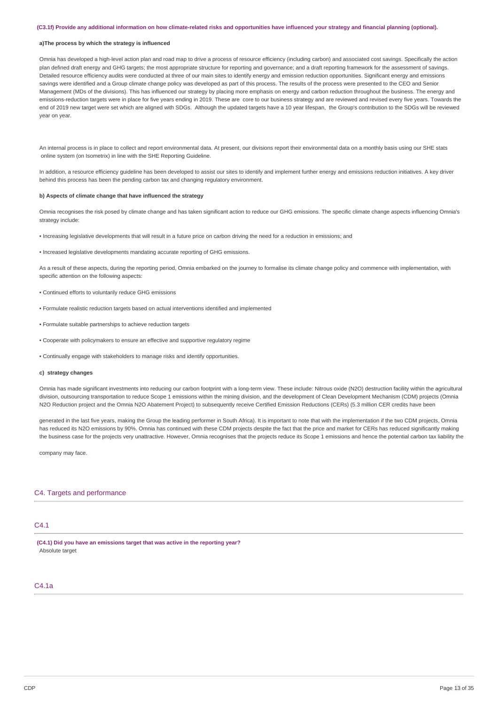#### (C3.1f) Provide any additional information on how climate-related risks and opportunities have influenced your strategy and financial planning (optional).

### **a)The process by which the strategy is influenced**

Omnia has developed a high-level action plan and road map to drive a process of resource efficiency (including carbon) and associated cost savings. Specifically the action plan defined draft energy and GHG targets; the most appropriate structure for reporting and governance; and a draft reporting framework for the assessment of savings. Detailed resource efficiency audits were conducted at three of our main sites to identify energy and emission reduction opportunities. Significant energy and emissions savings were identified and a Group climate change policy was developed as part of this process. The results of the process were presented to the CEO and Senior Management (MDs of the divisions). This has influenced our strategy by placing more emphasis on energy and carbon reduction throughout the business. The energy and emissions-reduction targets were in place for five years ending in 2019. These are core to our business strategy and are reviewed and revised every five years. Towards the end of 2019 new target were set which are aligned with SDGs. Although the updated targets have a 10 year lifespan, the Group's contribution to the SDGs will be reviewed year on year.

An internal process is in place to collect and report environmental data. At present, our divisions report their environmental data on a monthly basis using our SHE stats online system (on Isometrix) in line with the SHE Reporting Guideline.

In addition, a resource efficiency quideline has been developed to assist our sites to identify and implement further energy and emissions reduction initiatives. A key driver behind this process has been the pending carbon tax and changing regulatory environment.

#### **b) Aspects of climate change that have influenced the strategy**

Omnia recognises the risk posed by climate change and has taken significant action to reduce our GHG emissions. The specific climate change aspects influencing Omnia's strategy include:

- Increasing legislative developments that will result in a future price on carbon driving the need for a reduction in emissions; and
- Increased legislative developments mandating accurate reporting of GHG emissions.

As a result of these aspects, during the reporting period, Omnia embarked on the journey to formalise its climate change policy and commence with implementation, with specific attention on the following aspects:

- Continued efforts to voluntarily reduce GHG emissions
- Formulate realistic reduction targets based on actual interventions identified and implemented
- Formulate suitable partnerships to achieve reduction targets
- Cooperate with policymakers to ensure an effective and supportive regulatory regime
- Continually engage with stakeholders to manage risks and identify opportunities.

#### **c) strategy changes**

Omnia has made significant investments into reducing our carbon footprint with a long-term view. These include: Nitrous oxide (N2O) destruction facility within the agricultural division, outsourcing transportation to reduce Scope 1 emissions within the mining division, and the development of Clean Development Mechanism (CDM) projects (Omnia N2O Reduction project and the Omnia N2O Abatement Project) to subsequently receive Certified Emission Reductions (CERs) (5.3 million CER credits have been

generated in the last five years, making the Group the leading performer in South Africa). It is important to note that with the implementation if the two CDM projects, Omnia has reduced its N2O emissions by 90%. Omnia has continued with these CDM projects despite the fact that the price and market for CERs has reduced significantly making the business case for the projects very unattractive. However, Omnia recognises that the projects reduce its Scope 1 emissions and hence the potential carbon tax liability the

company may face.

### C4. Targets and performance

# C4.1

**(C4.1) Did you have an emissions target that was active in the reporting year?** Absolute target

# C4.1a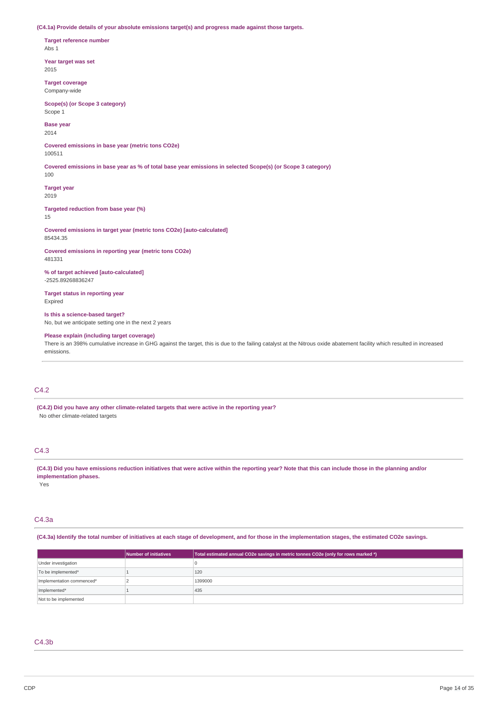**(C4.1a) Provide details of your absolute emissions target(s) and progress made against those targets.**

**Target reference number** Abs 1

**Year target was set** 2015

**Target coverage** Company-wide

**Scope(s) (or Scope 3 category)** Scope 1

**Base year** 2014

**Covered emissions in base year (metric tons CO2e)** 100511

Covered emissions in base year as % of total base year emissions in selected Scope(s) (or Scope 3 category)

**Target year**

100

2019

**Targeted reduction from base year (%)** 15

**Covered emissions in target year (metric tons CO2e) [auto-calculated]** 85434.35

**Covered emissions in reporting year (metric tons CO2e)** 481331

**% of target achieved [auto-calculated]** -2525.89268836247

**Target status in reporting year** Expired

**Is this a science-based target?** No, but we anticipate setting one in the next 2 years

**Please explain (including target coverage)**

There is an 398% cumulative increase in GHG against the target, this is due to the failing catalyst at the Nitrous oxide abatement facility which resulted in increased emissions.

# C4.2

**(C4.2) Did you have any other climate-related targets that were active in the reporting year?** No other climate-related targets

# C4.3

(C4.3) Did you have emissions reduction initiatives that were active within the reporting year? Note that this can include those in the planning and/or **implementation phases.**

Yes

# C4.3a

(C4.3a) Identify the total number of initiatives at each stage of development, and for those in the implementation stages, the estimated CO2e savings.

|                           | Number of initiatives | Total estimated annual CO2e savings in metric tonnes CO2e (only for rows marked *) |
|---------------------------|-----------------------|------------------------------------------------------------------------------------|
| Under investigation       |                       |                                                                                    |
| To be implemented*        |                       | 120                                                                                |
| Implementation commenced* |                       | 1399000                                                                            |
| Implemented*              |                       | 435                                                                                |
| Not to be implemented     |                       |                                                                                    |

### C4.3b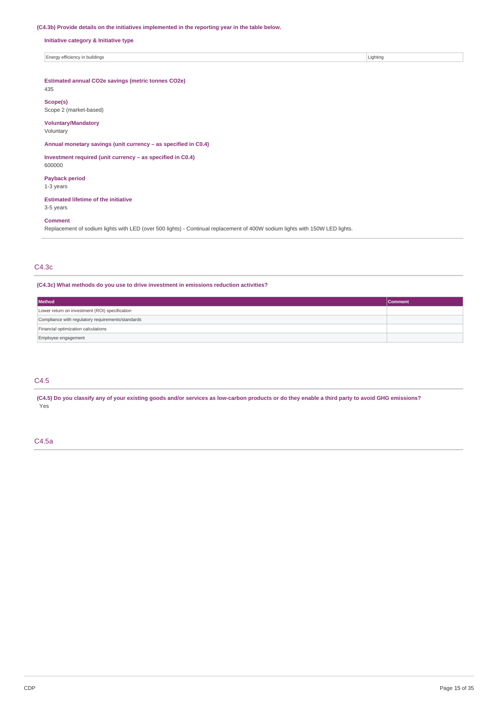## **(C4.3b) Provide details on the initiatives implemented in the reporting year in the table below.**

**Initiative category & Initiative type**

Energy efficiency in buildings Lighting Contact the United States of Lighting Lighting Lighting Lighting Lighting

# **Estimated annual CO2e savings (metric tonnes CO2e)**

435

**Scope(s)** Scope 2 (market-based)

## **Voluntary/Mandatory**

Voluntary

**Annual monetary savings (unit currency – as specified in C0.4)**

## **Investment required (unit currency – as specified in C0.4)** 600000

**Payback period**

1-3 years

# **Estimated lifetime of the initiative**

3-5 years

# **Comment**

Replacement of sodium lights with LED (over 500 lights) - Continual replacement of 400W sodium lights with 150W LED lights.

# C4.3c

## **(C4.3c) What methods do you use to drive investment in emissions reduction activities?**

| Method                                            | <b>Comment</b> |  |
|---------------------------------------------------|----------------|--|
| Lower return on investment (ROI) specification    |                |  |
| Compliance with regulatory requirements/standards |                |  |
| Financial optimization calculations               |                |  |
| Employee engagement                               |                |  |

# C4.5

(C4.5) Do you classify any of your existing goods and/or services as low-carbon products or do they enable a third party to avoid GHG emissions? .<br>Yes

## C4.5a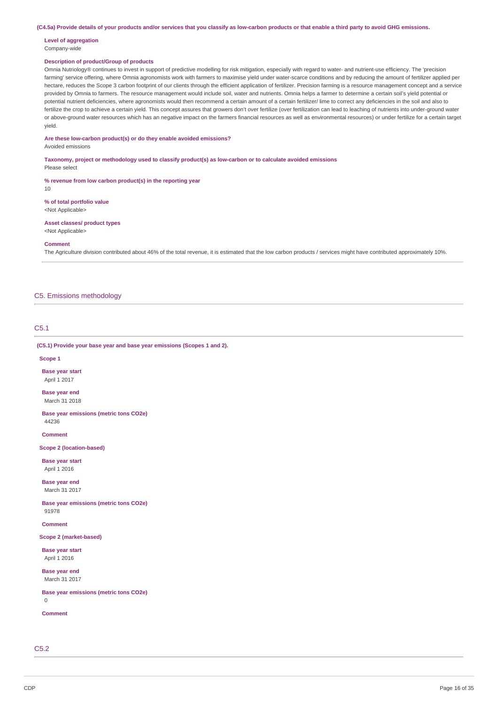(C4.5a) Provide details of your products and/or services that you classify as low-carbon products or that enable a third party to avoid GHG emissions.

#### **Level of aggregation** Company-wide

## **Description of product/Group of products**

Omnia Nutriology® continues to invest in support of predictive modelling for risk mitigation, especially with regard to water- and nutrient-use efficiency. The 'precision farming' service offering, where Omnia agronomists work with farmers to maximise yield under water-scarce conditions and by reducing the amount of fertilizer applied per hectare, reduces the Scope 3 carbon footprint of our clients through the efficient application of fertilizer. Precision farming is a resource management concept and a service provided by Omnia to farmers. The resource management would include soil, water and nutrients. Omnia helps a farmer to determine a certain soil's yield potential or potential nutrient deficiencies, where agronomists would then recommend a certain amount of a certain fertilizer/ lime to correct any deficiencies in the soil and also to fertilize the crop to achieve a certain yield. This concept assures that growers don't over fertilize (over fertilization can lead to leaching of nutrients into under-ground water or above-ground water resources which has an negative impact on the farmers financial resources as well as environmental resources) or under fertilize for a certain target yield.

## **Are these low-carbon product(s) or do they enable avoided emissions?**

#### Avoided emissions

**Taxonomy, project or methodology used to classify product(s) as low-carbon or to calculate avoided emissions**

Please select

**% revenue from low carbon product(s) in the reporting year** 10

**% of total portfolio value** <Not Applicable>

**Asset classes/ product types** <Not Applicable>

#### **Comment**

The Agriculture division contributed about 46% of the total revenue, it is estimated that the low carbon products / services might have contributed approximately 10%.

# C5. Emissions methodology

# C5.1

**(C5.1) Provide your base year and base year emissions (Scopes 1 and 2).**

#### **Scope 1**

**Base year start** April 1 2017

**Base year end** March 31 2018

**Base year emissions (metric tons CO2e)** 44236

**Comment**

**Scope 2 (location-based)**

**Base year start** April 1 2016

**Base year end** March 31 2017

**Base year emissions (metric tons CO2e)** 91978

**Comment**

**Scope 2 (market-based)**

**Base year start** April 1 2016

**Base year end** March 31 2017

**Base year emissions (metric tons CO2e)**  $\theta$ 

**Comment**

C5.2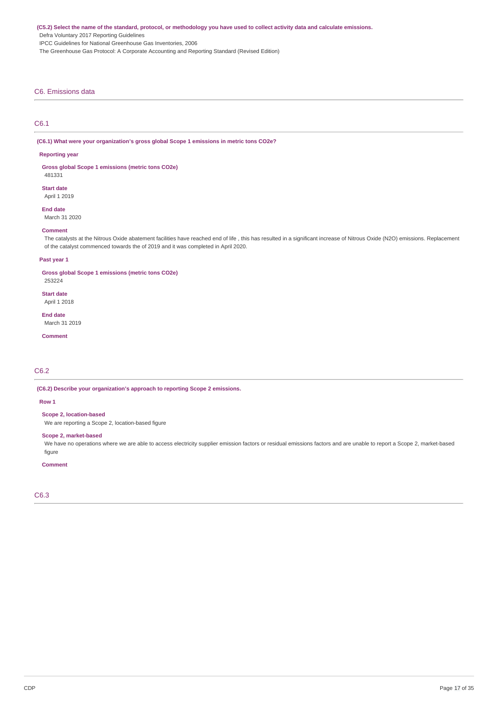(C5.2) Select the name of the standard, protocol, or methodology you have used to collect activity data and calculate emissions.

Defra Voluntary 2017 Reporting Guidelines

IPCC Guidelines for National Greenhouse Gas Inventories, 2006

The Greenhouse Gas Protocol: A Corporate Accounting and Reporting Standard (Revised Edition)

## C6. Emissions data

# C6.1

**(C6.1) What were your organization's gross global Scope 1 emissions in metric tons CO2e?**

#### **Reporting year**

**Gross global Scope 1 emissions (metric tons CO2e)** 481331

**Start date**

April 1 2019

**End date**

March 31 2020

#### **Comment**

The catalysts at the Nitrous Oxide abatement facilities have reached end of life , this has resulted in a significant increase of Nitrous Oxide (N2O) emissions. Replacement of the catalyst commenced towards the of 2019 and it was completed in April 2020.

## **Past year 1**

**Gross global Scope 1 emissions (metric tons CO2e)** 253224

**Start date** April 1 2018

**End date** March 31 2019

**Comment**

# C6.2

**(C6.2) Describe your organization's approach to reporting Scope 2 emissions.**

# **Row 1**

**Scope 2, location-based**

We are reporting a Scope 2, location-based figure

# **Scope 2, market-based**

We have no operations where we are able to access electricity supplier emission factors or residual emissions factors and are unable to report a Scope 2, market-based figure

#### **Comment**

C6.3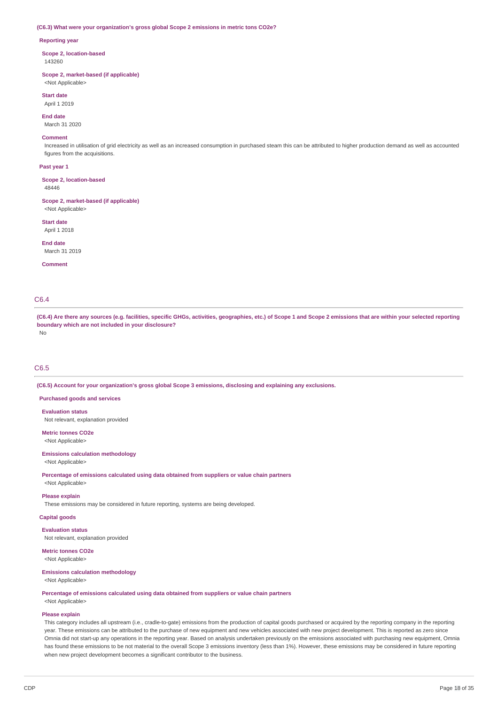#### **(C6.3) What were your organization's gross global Scope 2 emissions in metric tons CO2e?**

#### **Reporting year**

**Scope 2, location-based** 143260

**Scope 2, market-based (if applicable)** <Not Applicable>

**Start date**

April 1 2019

**End date** March 31 2020

#### **Comment**

Increased in utilisation of grid electricity as well as an increased consumption in purchased steam this can be attributed to higher production demand as well as accounted figures from the acquisitions.

#### **Past year 1**

**Scope 2, location-based** 48446

#### **Scope 2, market-based (if applicable)**

<Not Applicable>

**Start date** April 1 2018

**End date** March 31 2019

**Comment**

# C6.4

(C6.4) Are there any sources (e.g. facilities, specific GHGs, activities, geographies, etc.) of Scope 1 and Scope 2 emissions that are within your selected reporting **boundary which are not included in your disclosure?**

# No

# C6.5

**(C6.5) Account for your organization's gross global Scope 3 emissions, disclosing and explaining any exclusions.**

**Purchased goods and services**

## **Evaluation status**

Not relevant, explanation provided

**Metric tonnes CO2e** <Not Applicable>

## **Emissions calculation methodology** <Not Applicable>

**Percentage of emissions calculated using data obtained from suppliers or value chain partners** <Not Applicable>

#### **Please explain**

These emissions may be considered in future reporting, systems are being developed.

**Capital goods**

# **Evaluation status**

Not relevant, explanation provided

#### **Metric tonnes CO2e** <Not Applicable>

#### **Emissions calculation methodology** <Not Applicable>

**Percentage of emissions calculated using data obtained from suppliers or value chain partners** <Not Applicable>

# **Please explain**

This category includes all upstream (i.e., cradle-to-gate) emissions from the production of capital goods purchased or acquired by the reporting company in the reporting year. These emissions can be attributed to the purchase of new equipment and new vehicles associated with new project development. This is reported as zero since Omnia did not start-up any operations in the reporting year. Based on analysis undertaken previously on the emissions associated with purchasing new equipment, Omnia has found these emissions to be not material to the overall Scope 3 emissions inventory (less than 1%). However, these emissions may be considered in future reporting when new project development becomes a significant contributor to the business.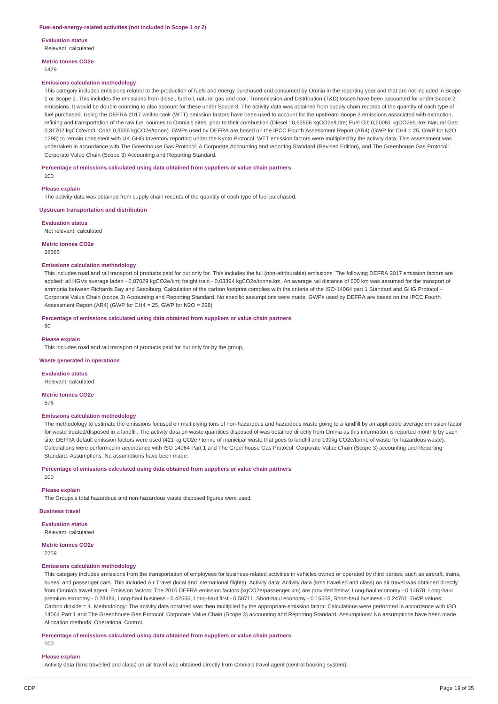**Evaluation status**

Relevant, calculated

**Metric tonnes CO2e**

# 5429

### **Emissions calculation methodology**

This category includes emissions related to the production of fuels and energy purchased and consumed by Omnia in the reporting year and that are not included in Scope 1 or Scope 2. This includes the emissions from diesel, fuel oil, natural gas and coal. Transmission and Distribution (T&D) losses have been accounted for under Scope 2 emissions. It would be double counting to also account for these under Scope 3. The activity data was obtained from supply chain records of the quantity of each type of fuel purchased. Using the DEFRA 2017 well-to-tank (WTT) emission factors have been used to account for the upstream Scope 3 emissions associated with extraction, refining and transportation of the raw fuel sources to Omnia's sites, prior to their combustion (Diesel : 0,62566 kgCO2e/Litre; Fuel Oil: 0,60061 kgCO2e/Litre; Natural Gas: 0,31702 kgCO2e/m3; Coal: 0,3656 kgCO2e/tonne). GWPs used by DEFRA are based on the IPCC Fourth Assessment Report (AR4) (GWP for CH4 = 25, GWP for N2O =298) to remain consistent with UK GHG Inventory reporting under the Kyoto Protocol. WTT emission factors were multiplied by the activity data. This assessment was undertaken in accordance with The Greenhouse Gas Protocol: A Corporate Accounting and reporting Standard (Revised Edition), and The Greenhouse Gas Protocol: Corporate Value Chain (Scope 3) Accounting and Reporting Standard.

#### **Percentage of emissions calculated using data obtained from suppliers or value chain partners**

100

#### **Please explain**

The activity data was obtained from supply chain records of the quantity of each type of fuel purchased.

#### **Upstream transportation and distribution**

**Evaluation status** Not relevant, calculated

#### **Metric tonnes CO2e**

28565

#### **Emissions calculation methodology**

This includes road and rail transport of products paid for but only for. This includes the full (non-attributable) emissions. The following DEFRA 2017 emission factors are applied: all HGVs average laden - 0,87029 kgCO2e/km; freight train - 0,03394 kgCO2e/tonne.km. An average rail distance of 600 km was assumed for the transport of ammonia between Richards Bay and Sasolburg. Calculation of the carbon footprint complies with the criteria of the ISO-14064 part 1 Standard and GHG Protocol – Corporate Value Chain (scope 3) Accounting and Reporting Standard. No specific assumptions were made. GWPs used by DEFRA are based on the IPCC Fourth Assessment Report (AR4) (GWP for CH4 = 25, GWP for N2O = 298)

## **Percentage of emissions calculated using data obtained from suppliers or value chain partners**

80

#### **Please explain**

This includes road and rail transport of products paid for but only for by the group,

#### **Waste generated in operations**

**Evaluation status** Relevant, calculated

**Metric tonnes CO2e**

576

# **Emissions calculation methodology**

The methodology to estimate the emissions focused on multiplying tons of non-hazardous and hazardous waste going to a landfill by an applicable average emission factor for waste treated/disposed in a landfill. The activity data on waste quantities disposed of was obtained directly from Omnia as this information is reported monthly by each site. DEFRA default emission factors were used (421 kg CO2e / tonne of municipal waste that goes to landfill and 199kg CO2e/tonne of waste for hazardous waste). Calculations were performed in accordance with ISO 14064 Part 1 and The Greenhouse Gas Protocol: Corporate Value Chain (Scope 3) accounting and Reporting Standard. Assumptions: No assumptions have been made.

#### **Percentage of emissions calculated using data obtained from suppliers or value chain partners**

100

# **Please explain**

The Groups's total hazardous and non-hazardous waste disposed figures were used.

# **Business travel**

**Evaluation status** Relevant, calculated

## **Metric tonnes CO2e**

2759

# **Emissions calculation methodology**

This category includes emissions from the transportation of employees for business-related activities in vehicles owned or operated by third parties, such as aircraft, trains, buses, and passenger cars. This included Air Travel (local and international flights). Activity data: Activity data (kms travelled and class) on air travel was obtained directly from Omnia's travel agent. Emission factors: The 2016 DEFRA emission factors (kgCO2e/passenger.km) are provided below: Long-haul economy - 0.14678, Long-haul premium economy - 0.23484, Long-haul business - 0.42565, Long-haul first - 0.58711, Short-haul economy - 0.16508, Short-haul business - 0.24761. GWP values: Carbon dioxide = 1. Methodology: The activity data obtained was then multiplied by the appropriate emission factor. Calculations were performed in accordance with ISO 14064 Part 1 and The Greenhouse Gas Protocol: Corporate Value Chain (Scope 3) accounting and Reporting Standard. Assumptions: No assumptions have been made. Allocation methods: Operational Control.

**Percentage of emissions calculated using data obtained from suppliers or value chain partners**

#### 100

**Please explain**

Activity data (kms travelled and class) on air travel was obtained directly from Omnia's travel agent (central booking system).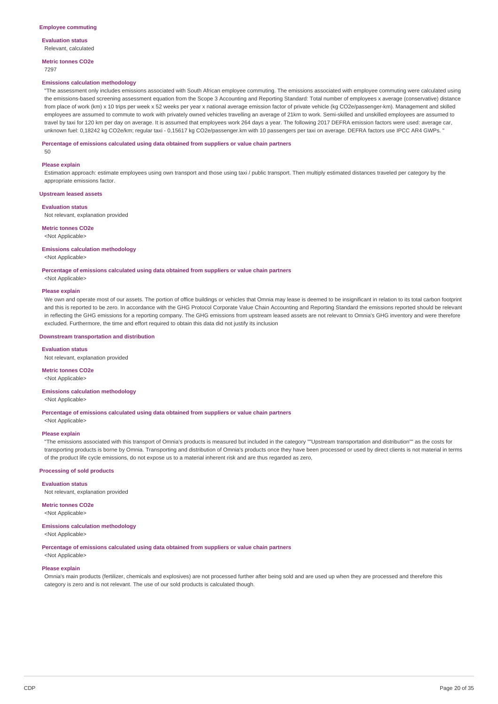**Evaluation status** Relevant, calculated

**Metric tonnes CO2e**

# 7297

## **Emissions calculation methodology**

"The assessment only includes emissions associated with South African employee commuting. The emissions associated with employee commuting were calculated using the emissions-based screening assessment equation from the Scope 3 Accounting and Reporting Standard: Total number of employees x average (conservative) distance from place of work (km) x 10 trips per week x 52 weeks per year x national average emission factor of private vehicle (kg CO2e/passenger-km). Management and skilled employees are assumed to commute to work with privately owned vehicles travelling an average of 21km to work. Semi-skilled and unskilled employees are assumed to travel by taxi for 120 km per day on average. It is assumed that employees work 264 days a year. The following 2017 DEFRA emission factors were used: average car, unknown fuel: 0,18242 kg CO2e/km; regular taxi - 0,15617 kg CO2e/passenger.km with 10 passengers per taxi on average. DEFRA factors use IPCC AR4 GWPs. "

### **Percentage of emissions calculated using data obtained from suppliers or value chain partners**

 $50$ 

#### **Please explain**

Estimation approach: estimate employees using own transport and those using taxi / public transport. Then multiply estimated distances traveled per category by the appropriate emissions factor.

#### **Upstream leased assets**

#### **Evaluation status**

Not relevant, explanation provided

## **Metric tonnes CO2e**

<Not Applicable>

#### **Emissions calculation methodology**

<Not Applicable>

**Percentage of emissions calculated using data obtained from suppliers or value chain partners**

# <Not Applicable>

## **Please explain**

We own and operate most of our assets. The portion of office buildings or vehicles that Omnia may lease is deemed to be insignificant in relation to its total carbon footprint and this is reported to be zero. In accordance with the GHG Protocol Corporate Value Chain Accounting and Reporting Standard the emissions reported should be relevant in reflecting the GHG emissions for a reporting company. The GHG emissions from upstream leased assets are not relevant to Omnia's GHG inventory and were therefore excluded. Furthermore, the time and effort required to obtain this data did not justify its inclusion

#### **Downstream transportation and distribution**

**Evaluation status** Not relevant, explanation provided

# **Metric tonnes CO2e**

<Not Applicable>

#### **Emissions calculation methodology**

<Not Applicable>

**Percentage of emissions calculated using data obtained from suppliers or value chain partners** <Not Applicable>

### **Please explain**

"The emissions associated with this transport of Omnia's products is measured but included in the category ""Upstream transportation and distribution"" as the costs for transporting products is borne by Omnia. Transporting and distribution of Omnia's products once they have been processed or used by direct clients is not material in terms of the product life cycle emissions, do not expose us to a material inherent risk and are thus regarded as zero,

#### **Processing of sold products**

#### **Evaluation status**

Not relevant, explanation provided

**Metric tonnes CO2e**

<Not Applicable>

#### **Emissions calculation methodology** <Not Applicable>

**Percentage of emissions calculated using data obtained from suppliers or value chain partners**

# <Not Applicable> **Please explain**

Omnia's main products (fertilizer, chemicals and explosives) are not processed further after being sold and are used up when they are processed and therefore this category is zero and is not relevant. The use of our sold products is calculated though.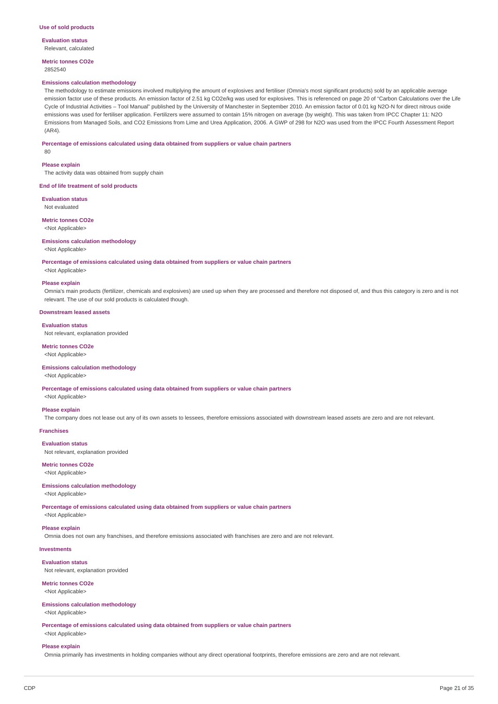**Evaluation status** Relevant, calculated

**Metric tonnes CO2e** 2852540

#### **Emissions calculation methodology**

The methodology to estimate emissions involved multiplying the amount of explosives and fertiliser (Omnia's most significant products) sold by an applicable average emission factor use of these products. An emission factor of 2.51 kg CO2e/kg was used for explosives. This is referenced on page 20 of "Carbon Calculations over the Life Cycle of Industrial Activities – Tool Manual" published by the University of Manchester in September 2010. An emission factor of 0.01 kg N2O-N for direct nitrous oxide emissions was used for fertiliser application. Fertilizers were assumed to contain 15% nitrogen on average (by weight). This was taken from IPCC Chapter 11: N2O Emissions from Managed Soils, and CO2 Emissions from Lime and Urea Application, 2006. A GWP of 298 for N2O was used from the IPCC Fourth Assessment Report  $(AR4)$ 

#### **Percentage of emissions calculated using data obtained from suppliers or value chain partners**

80

#### **Please explain**

The activity data was obtained from supply chain

#### **End of life treatment of sold products**

**Evaluation status** Not evaluated

#### **Metric tonnes CO2e** <Not Applicable>

## **Emissions calculation methodology**

<Not Applicable>

**Percentage of emissions calculated using data obtained from suppliers or value chain partners**

<Not Applicable>

### **Please explain**

Omnia's main products (fertilizer, chemicals and explosives) are used up when they are processed and therefore not disposed of, and thus this category is zero and is not relevant. The use of our sold products is calculated though.

## **Downstream leased assets**

#### **Evaluation status**

Not relevant, explanation provided

#### **Metric tonnes CO2e**

<Not Applicable>

### **Emissions calculation methodology**

<Not Applicable>

**Percentage of emissions calculated using data obtained from suppliers or value chain partners**

<Not Applicable>

### **Please explain**

The company does not lease out any of its own assets to lessees, therefore emissions associated with downstream leased assets are zero and are not relevant.

# **Franchises**

**Evaluation status** Not relevant, explanation provided

# **Metric tonnes CO2e**

<Not Applicable>

# **Emissions calculation methodology**

# <Not Applicable>

**Percentage of emissions calculated using data obtained from suppliers or value chain partners**

<Not Applicable>

# **Please explain**

Omnia does not own any franchises, and therefore emissions associated with franchises are zero and are not relevant.

# **Investments**

**Evaluation status** Not relevant, explanation provided

# **Metric tonnes CO2e**

<Not Applicable>

# **Emissions calculation methodology**

<Not Applicable>

**Percentage of emissions calculated using data obtained from suppliers or value chain partners** <Not Applicable>

#### **Please explain**

Omnia primarily has investments in holding companies without any direct operational footprints, therefore emissions are zero and are not relevant.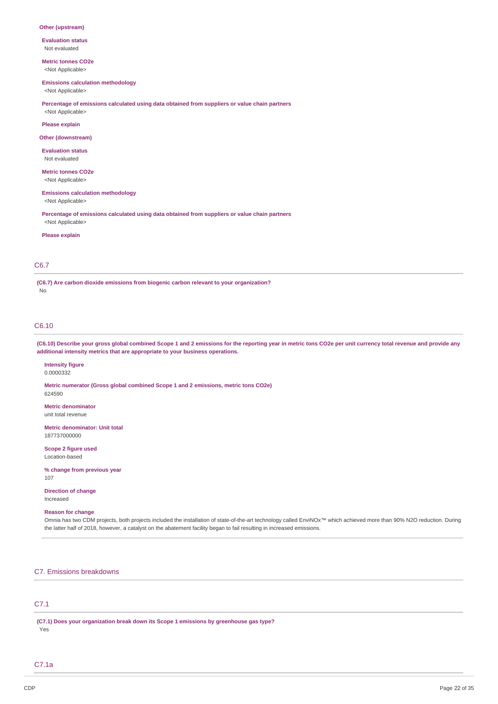#### **Other (upstream)**

**Evaluation status** Not evaluated

**Metric tonnes CO2e** <Not Applicable>

#### **Emissions calculation methodology**

<Not Applicable>

**Percentage of emissions calculated using data obtained from suppliers or value chain partners** <Not Applicable>

**Please explain**

#### **Other (downstream)**

**Evaluation status** Not evaluated

**Metric tonnes CO2e** <Not Applicable>

# **Emissions calculation methodology**

<Not Applicable>

**Percentage of emissions calculated using data obtained from suppliers or value chain partners** <Not Applicable>

#### **Please explain**

# C6.7

**(C6.7) Are carbon dioxide emissions from biogenic carbon relevant to your organization?** No

# C6.10

(C6.10) Describe your gross global combined Scope 1 and 2 emissions for the reporting year in metric tons CO2e per unit currency total revenue and provide any **additional intensity metrics that are appropriate to your business operations.**

# **Intensity figure**

0.0000332

**Metric numerator (Gross global combined Scope 1 and 2 emissions, metric tons CO2e)** 624590

**Metric denominator** unit total revenue

**Metric denominator: Unit total** 187737000000

**Scope 2 figure used** Location-based

## **% change from previous year** 107

**Direction of change**

Increased

#### **Reason for change**

Omnia has two CDM projects, both projects included the installation of state-of-the-art technology called EnviNOx™ which achieved more than 90% N2O reduction. During the latter half of 2018, however, a catalyst on the abatement facility began to fail resulting in increased emissions.

# C7. Emissions breakdowns

# C7.1

**(C7.1) Does your organization break down its Scope 1 emissions by greenhouse gas type?** Yes

C7.1a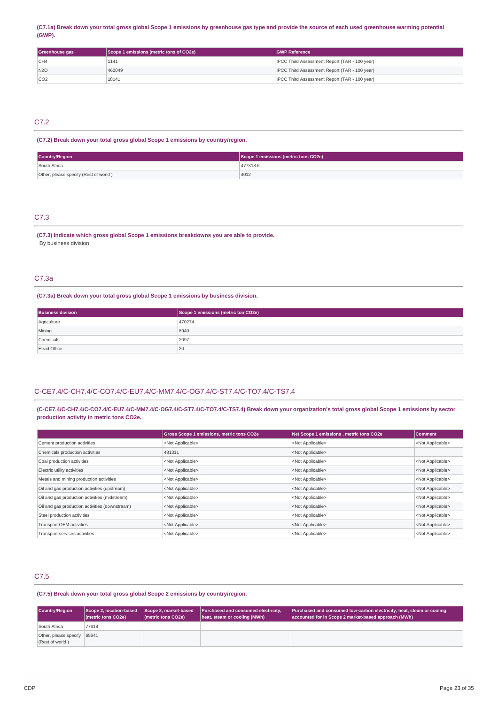## (C7.1a) Break down your total gross global Scope 1 emissions by greenhouse gas type and provide the source of each used greenhouse warming potential **(GWP).**

| Greenhouse gas  | Scope 1 emissions (metric tons of CO2e) | <b>GWP Reference</b>                                 |
|-----------------|-----------------------------------------|------------------------------------------------------|
| CH4             | 1141                                    | <b>IPCC Third Assessment Report (TAR - 100 year)</b> |
| N2O             | 462049                                  | <b>IPCC Third Assessment Report (TAR - 100 year)</b> |
| CO <sub>2</sub> | 18141                                   | <b>IPCC Third Assessment Report (TAR - 100 year)</b> |

# C7.2

# **(C7.2) Break down your total gross global Scope 1 emissions by country/region.**

| <b>Country/Region</b>                 | Scope 1 emissions (metric tons CO2e) |  |  |
|---------------------------------------|--------------------------------------|--|--|
| South Africa                          | 477318.6                             |  |  |
| Other, please specify (Rest of world) | 4012                                 |  |  |

# C7.3

**(C7.3) Indicate which gross global Scope 1 emissions breakdowns you are able to provide.** By business division

# C7.3a

### **(C7.3a) Break down your total gross global Scope 1 emissions by business division.**

| <b>Business division</b> | Scope 1 emissions (metric ton CO2e) |
|--------------------------|-------------------------------------|
| Agriculture              | 470274                              |
| Mining                   | 8940                                |
| Chemicals                | 2097                                |
| <b>Head Office</b>       | 20                                  |

# C-CE7.4/C-CH7.4/C-CO7.4/C-EU7.4/C-MM7.4/C-OG7.4/C-ST7.4/C-TO7.4/C-TS7.4

# (C-CE7.4/C-CH7.4/C-CO7.4/C-EU7.4/C-MM7.4/C-OG7.4/C-ST7.4/C-TO7.4/C-TS7.4) Break down your organization's total gross global Scope 1 emissions by sector **production activity in metric tons CO2e.**

|                                                | <b>Gross Scope 1 emissions, metric tons CO2e</b> | Net Scope 1 emissions, metric tons CO2e | <b>Comment</b>            |
|------------------------------------------------|--------------------------------------------------|-----------------------------------------|---------------------------|
| Cement production activities                   | <not applicable=""></not>                        | <not applicable=""></not>               | <not applicable=""></not> |
| Chemicals production activities                | 481311                                           | <not applicable=""></not>               |                           |
| Coal production activities                     | <not applicable=""></not>                        | <not applicable=""></not>               | <not applicable=""></not> |
| Electric utility activities                    | <not applicable=""></not>                        | <not applicable=""></not>               | <not applicable=""></not> |
| Metals and mining production activities        | <not applicable=""></not>                        | <not applicable=""></not>               | <not applicable=""></not> |
| Oil and gas production activities (upstream)   | <not applicable=""></not>                        | <not applicable=""></not>               | <not applicable=""></not> |
| Oil and gas production activities (midstream)  | <not applicable=""></not>                        | <not applicable=""></not>               | <not applicable=""></not> |
| Oil and gas production activities (downstream) | <not applicable=""></not>                        | <not applicable=""></not>               | <not applicable=""></not> |
| Steel production activities                    | <not applicable=""></not>                        | <not applicable=""></not>               | <not applicable=""></not> |
| Transport OEM activities                       | <not applicable=""></not>                        | <not applicable=""></not>               | <not applicable=""></not> |
| Transport services activities                  | <not applicable=""></not>                        | <not applicable=""></not>               | <not applicable=""></not> |

# C7.5

## **(C7.5) Break down your total gross global Scope 2 emissions by country/region.**

| Country/Region                           | Scope 2, location-based<br>(metric tons CO2e) | Scope 2, market-based<br>(metric tons CO2e) | Purchased and consumed electricity,<br>heat, steam or cooling (MWh) | Purchased and consumed low-carbon electricity, heat, steam or cooling<br>accounted for in Scope 2 market-based approach (MWh) |
|------------------------------------------|-----------------------------------------------|---------------------------------------------|---------------------------------------------------------------------|-------------------------------------------------------------------------------------------------------------------------------|
| South Africa                             | 77618                                         |                                             |                                                                     |                                                                                                                               |
| Other, please specify<br>(Rest of world) | 65641                                         |                                             |                                                                     |                                                                                                                               |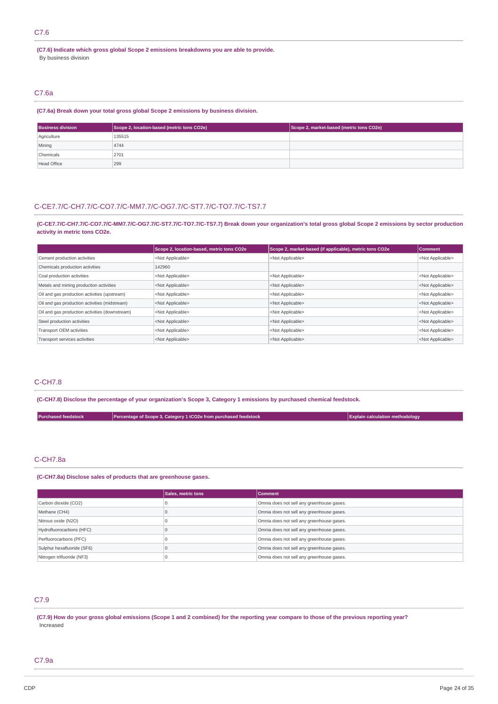# C7.6

**(C7.6) Indicate which gross global Scope 2 emissions breakdowns you are able to provide.** By business division

## C7.6a

## **(C7.6a) Break down your total gross global Scope 2 emissions by business division.**

| <b>Business division</b> | Scope 2, location-based (metric tons CO2e) | Scope 2, market-based (metric tons CO2e) |
|--------------------------|--------------------------------------------|------------------------------------------|
| Agriculture              | 135515                                     |                                          |
| Mining                   | 4744                                       |                                          |
| Chemicals                | 2701                                       |                                          |
| <b>Head Office</b>       | 299                                        |                                          |

# C-CE7.7/C-CH7.7/C-CO7.7/C-MM7.7/C-OG7.7/C-ST7.7/C-TO7.7/C-TS7.7

(C-CE7.7/C-CH7.7/C-CO7.7/C-MM7.7/C-OG7.7/C-ST7.7/C-TO7.7/C-TS7.7) Break down your organization's total gross global Scope 2 emissions by sector production **activity in metric tons CO2e.**

|                                                | Scope 2, location-based, metric tons CO2e | Scope 2, market-based (if applicable), metric tons CO2e | <b>Comment</b>            |
|------------------------------------------------|-------------------------------------------|---------------------------------------------------------|---------------------------|
| Cement production activities                   | <not applicable=""></not>                 | <not applicable=""></not>                               | <not applicable=""></not> |
| Chemicals production activities                | 142960                                    |                                                         |                           |
| Coal production activities                     | <not applicable=""></not>                 | <not applicable=""></not>                               | <not applicable=""></not> |
| Metals and mining production activities        | <not applicable=""></not>                 | <not applicable=""></not>                               | <not applicable=""></not> |
| Oil and gas production activities (upstream)   | <not applicable=""></not>                 | <not applicable=""></not>                               | <not applicable=""></not> |
| Oil and gas production activities (midstream)  | <not applicable=""></not>                 | <not applicable=""></not>                               | <not applicable=""></not> |
| Oil and gas production activities (downstream) | <not applicable=""></not>                 | <not applicable=""></not>                               | <not applicable=""></not> |
| Steel production activities                    | <not applicable=""></not>                 | <not applicable=""></not>                               | <not applicable=""></not> |
| Transport OEM activities                       | <not applicable=""></not>                 | <not applicable=""></not>                               | <not applicable=""></not> |
| Transport services activities                  | <not applicable=""></not>                 | <not applicable=""></not>                               | <not applicable=""></not> |

# C-CH7.8

(C-CH7.8) Disclose the percentage of your organization's Scope 3, Category 1 emissions by purchased chemical feedstock.

**Purchased feedstock Percentage of Scope 3, Category 1 tCO2e from purchased feedstock Explain calculation methodology**

# C-CH7.8a

## **(C-CH7.8a) Disclose sales of products that are greenhouse gases.**

|                            | Sales, metric tons | Comment                                   |
|----------------------------|--------------------|-------------------------------------------|
| Carbon dioxide (CO2)       |                    | Omnia does not sell any greenhouse gases. |
| Methane (CH4)              |                    | Omnia does not sell any greenhouse gases. |
| Nitrous oxide (N2O)        |                    | Omnia does not sell any greenhouse gases. |
| Hydrofluorocarbons (HFC)   |                    | Omnia does not sell any greenhouse gases. |
| Perfluorocarbons (PFC)     |                    | Omnia does not sell any greenhouse gases. |
| Sulphur hexafluoride (SF6) |                    | Omnia does not sell any greenhouse gases. |
| Nitrogen trifluoride (NF3) |                    | Omnia does not sell any greenhouse gases. |

# C7.9

(C7.9) How do your gross global emissions (Scope 1 and 2 combined) for the reporting year compare to those of the previous reporting year? Increased

# C7.9a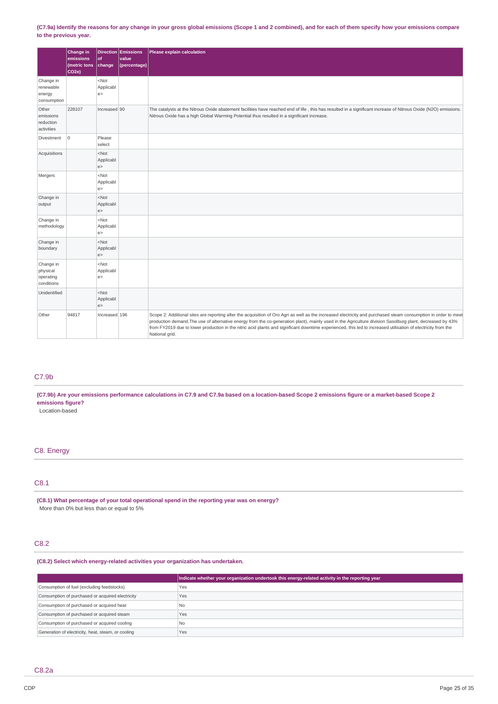## (C7.9a) Identify the reasons for any change in your gross global emissions (Scope 1 and 2 combined), and for each of them specify how your emissions compare **to the previous year.**

|                                                  | Change in<br>emissions<br>(metric tons<br>CO <sub>2e</sub> ) | of<br>change                | <b>Direction Emissions</b><br>value<br>(percentage) | Please explain calculation                                                                                                                                                                                                                                                                                                                                                                                                                                                                                      |
|--------------------------------------------------|--------------------------------------------------------------|-----------------------------|-----------------------------------------------------|-----------------------------------------------------------------------------------------------------------------------------------------------------------------------------------------------------------------------------------------------------------------------------------------------------------------------------------------------------------------------------------------------------------------------------------------------------------------------------------------------------------------|
| Change in<br>renewable<br>energy<br>consumption  |                                                              | $<$ Not<br>Applicabl<br>e > |                                                     |                                                                                                                                                                                                                                                                                                                                                                                                                                                                                                                 |
| Other<br>emissions<br>reduction<br>activities    | 228107                                                       | Increased 90                |                                                     | The catalysts at the Nitrous Oxide abatement facilities have reached end of life, this has resulted in a significant increase of Nitrous Oxide (N2O) emissions.<br>Nitrous Oxide has a high Global Warming Potential thus resulted in a significant increase.                                                                                                                                                                                                                                                   |
| Divestment                                       | $\mathbf 0$                                                  | Please<br>select            |                                                     |                                                                                                                                                                                                                                                                                                                                                                                                                                                                                                                 |
| Acquisitions                                     |                                                              | $<$ Not<br>Applicabl<br>e > |                                                     |                                                                                                                                                                                                                                                                                                                                                                                                                                                                                                                 |
| Mergers                                          |                                                              | $<$ Not<br>Applicabl<br>e > |                                                     |                                                                                                                                                                                                                                                                                                                                                                                                                                                                                                                 |
| Change in<br>output                              |                                                              | $<$ Not<br>Applicabl<br>e > |                                                     |                                                                                                                                                                                                                                                                                                                                                                                                                                                                                                                 |
| Change in<br>methodology                         |                                                              | $<$ Not<br>Applicabl<br>e > |                                                     |                                                                                                                                                                                                                                                                                                                                                                                                                                                                                                                 |
| Change in<br>boundary                            |                                                              | $<$ Not<br>Applicabl<br>e > |                                                     |                                                                                                                                                                                                                                                                                                                                                                                                                                                                                                                 |
| Change in<br>physical<br>operating<br>conditions |                                                              | $<$ Not<br>Applicabl<br>e > |                                                     |                                                                                                                                                                                                                                                                                                                                                                                                                                                                                                                 |
| Unidentified                                     |                                                              | $<$ Not<br>Applicabl<br>e > |                                                     |                                                                                                                                                                                                                                                                                                                                                                                                                                                                                                                 |
| Other                                            | 94817                                                        | Increased 196               |                                                     | Scope 2: Additional sites are reporting after the acquisition of Oro Agri as well as the increased electricity and purchased steam consumption in order to meet<br>production demand. The use of alternative energy from the co-generation plant), mainly used in the Agriculture division Sasolburg plant, decreased by 43%<br>from FY2019 due to lower production in the nitric acid plants and significant downtime experienced, this led to increased utilisation of electricity from the<br>National grid. |

# C7.9b

(C7.9b) Are your emissions performance calculations in C7.9 and C7.9a based on a location-based Scope 2 emissions figure or a market-based Scope 2 **emissions figure?**

Location-based

# C8. Energy

# C8.1

**(C8.1) What percentage of your total operational spend in the reporting year was on energy?** More than 0% but less than or equal to 5%

# C8.2

# **(C8.2) Select which energy-related activities your organization has undertaken.**

|                                                    | Indicate whether your organization undertook this energy-related activity in the reporting year |
|----------------------------------------------------|-------------------------------------------------------------------------------------------------|
| Consumption of fuel (excluding feedstocks)         | Yes                                                                                             |
| Consumption of purchased or acquired electricity   | Yes                                                                                             |
| Consumption of purchased or acquired heat          | N <sub>0</sub>                                                                                  |
| Consumption of purchased or acquired steam         | Yes                                                                                             |
| Consumption of purchased or acquired cooling       | N <sub>0</sub>                                                                                  |
| Generation of electricity, heat, steam, or cooling | Yes                                                                                             |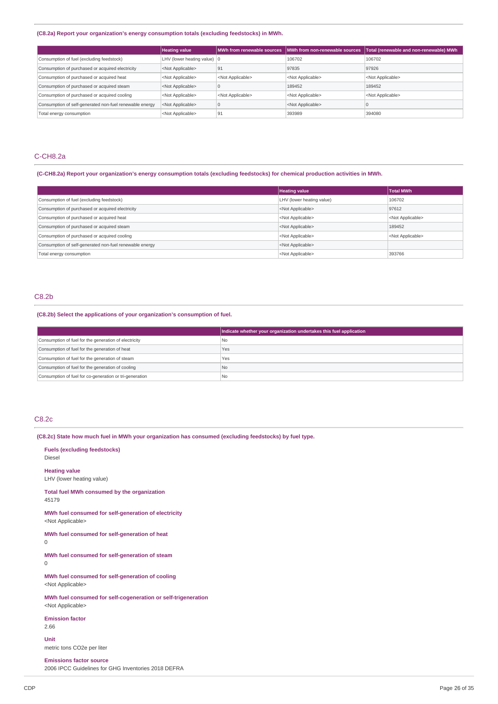## **(C8.2a) Report your organization's energy consumption totals (excluding feedstocks) in MWh.**

|                                                         | <b>Heating value</b>                  |                           | MWh from renewable sources   MWh from non-renewable sources | Total (renewable and non-renewable) MWh |
|---------------------------------------------------------|---------------------------------------|---------------------------|-------------------------------------------------------------|-----------------------------------------|
| Consumption of fuel (excluding feedstock)               | LHV (lower heating value) $ 0\rangle$ |                           | 106702                                                      | 106702                                  |
| Consumption of purchased or acquired electricity        | <not applicable=""></not>             | 91                        | 97835                                                       | 97926                                   |
| Consumption of purchased or acquired heat               | <not applicable=""></not>             | <not applicable=""></not> | <not applicable=""></not>                                   | <not applicable=""></not>               |
| Consumption of purchased or acquired steam              | <not applicable=""></not>             |                           | 189452                                                      | 189452                                  |
| Consumption of purchased or acquired cooling            | <not applicable=""></not>             | <not applicable=""></not> | <not applicable=""></not>                                   | <not applicable=""></not>               |
| Consumption of self-generated non-fuel renewable energy | <not applicable=""></not>             | u                         | <not applicable=""></not>                                   |                                         |
| Total energy consumption                                | <not applicable=""></not>             | '91                       | 393989                                                      | 394080                                  |

# C-CH8.2a

## (C-CH8.2a) Report your organization's energy consumption totals (excluding feedstocks) for chemical production activities in MWh.

|                                                         | <b>Heating value</b>      | <b>Total MWh</b>          |
|---------------------------------------------------------|---------------------------|---------------------------|
| Consumption of fuel (excluding feedstock)               | LHV (lower heating value) | 106702                    |
| Consumption of purchased or acquired electricity        | <not applicable=""></not> | 97612                     |
| Consumption of purchased or acquired heat               | <not applicable=""></not> | <not applicable=""></not> |
| Consumption of purchased or acquired steam              | <not applicable=""></not> | 189452                    |
| Consumption of purchased or acquired cooling            | <not applicable=""></not> | <not applicable=""></not> |
| Consumption of self-generated non-fuel renewable energy | <not applicable=""></not> |                           |
| Total energy consumption                                | <not applicable=""></not> | 393766                    |

# C8.2b

## **(C8.2b) Select the applications of your organization's consumption of fuel.**

|                                                         | Indicate whether your organization undertakes this fuel application |
|---------------------------------------------------------|---------------------------------------------------------------------|
| Consumption of fuel for the generation of electricity   | No                                                                  |
| Consumption of fuel for the generation of heat          | Yes                                                                 |
| Consumption of fuel for the generation of steam         | Yes                                                                 |
| Consumption of fuel for the generation of cooling       | l No                                                                |
| Consumption of fuel for co-generation or tri-generation | l Nc                                                                |

## C8.2c

**(C8.2c) State how much fuel in MWh your organization has consumed (excluding feedstocks) by fuel type.**

**Fuels (excluding feedstocks)** Diesel **Heating value** LHV (lower heating value) **Total fuel MWh consumed by the organization** 45179 **MWh fuel consumed for self-generation of electricity** <Not Applicable> **MWh fuel consumed for self-generation of heat** 0 **MWh fuel consumed for self-generation of steam** 0 **MWh fuel consumed for self-generation of cooling** <Not Applicable> **MWh fuel consumed for self-cogeneration or self-trigeneration** <Not Applicable> **Emission factor** 2.66 **Unit** metric tons CO2e per liter

**Emissions factor source** 2006 IPCC Guidelines for GHG Inventories 2018 DEFRA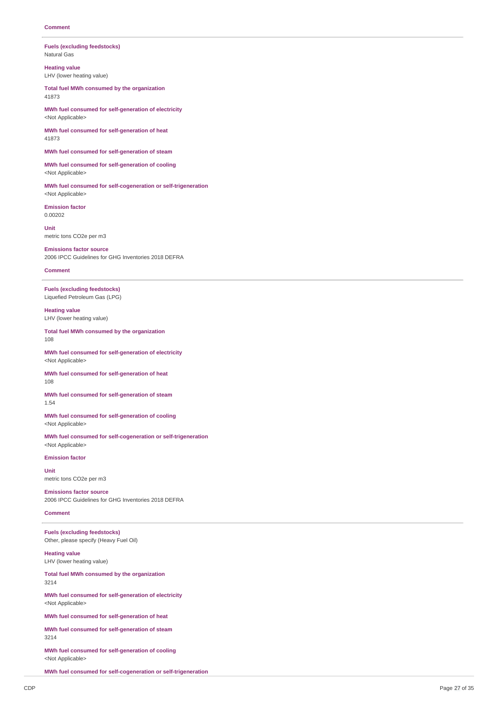#### **Fuels (excluding feedstocks)** Natural Gas

**Heating value** LHV (lower heating value)

**Total fuel MWh consumed by the organization** 41873

**MWh fuel consumed for self-generation of electricity** <Not Applicable>

**MWh fuel consumed for self-generation of heat** 41873

**MWh fuel consumed for self-generation of steam**

**MWh fuel consumed for self-generation of cooling** <Not Applicable>

**MWh fuel consumed for self-cogeneration or self-trigeneration** <Not Applicable>

**Emission factor** 0.00202

**Unit** metric tons CO2e per m3

**Emissions factor source** 2006 IPCC Guidelines for GHG Inventories 2018 DEFRA

## **Comment**

**Fuels (excluding feedstocks)** Liquefied Petroleum Gas (LPG)

**Heating value** LHV (lower heating value)

**Total fuel MWh consumed by the organization** 108

**MWh fuel consumed for self-generation of electricity** <Not Applicable>

**MWh fuel consumed for self-generation of heat** 108

**MWh fuel consumed for self-generation of steam** 1.54

**MWh fuel consumed for self-generation of cooling** <Not Applicable>

**MWh fuel consumed for self-cogeneration or self-trigeneration** <Not Applicable>

#### **Emission factor**

**Unit** metric tons CO2e per m3

**Emissions factor source** 2006 IPCC Guidelines for GHG Inventories 2018 DEFRA

## **Comment**

**Fuels (excluding feedstocks)** Other, please specify (Heavy Fuel Oil)

**Heating value** LHV (lower heating value)

**Total fuel MWh consumed by the organization** 3214

**MWh fuel consumed for self-generation of electricity** <Not Applicable>

**MWh fuel consumed for self-generation of heat**

**MWh fuel consumed for self-generation of steam** 3214

**MWh fuel consumed for self-generation of cooling** <Not Applicable>

**MWh fuel consumed for self-cogeneration or self-trigeneration**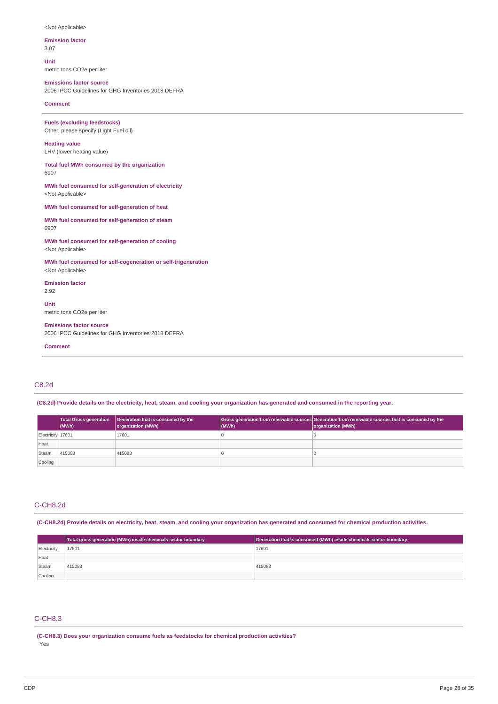#### <Not Applicable>

**Emission factor** 3.07

**Unit** metric tons CO2e per liter

**Emissions factor source**

2006 IPCC Guidelines for GHG Inventories 2018 DEFRA

**Comment**

**Fuels (excluding feedstocks)** Other, please specify (Light Fuel oil)

## **Heating value** LHV (lower heating value)

**Total fuel MWh consumed by the organization** 6907

**MWh fuel consumed for self-generation of electricity** <Not Applicable>

**MWh fuel consumed for self-generation of heat**

| MWh fuel consumed for self-generation of steam |  |
|------------------------------------------------|--|
| 6907                                           |  |

**MWh fuel consumed for self-generation of cooling** <Not Applicable>

**MWh fuel consumed for self-cogeneration or self-trigeneration** <Not Applicable>

**Emission factor** 2.92

**Unit** metric tons CO2e per liter

**Emissions factor source** 2006 IPCC Guidelines for GHG Inventories 2018 DEFRA

**Comment**

# C8.2d

(C8.2d) Provide details on the electricity, heat, steam, and cooling your organization has generated and consumed in the reporting year.

|                   | $ $ (MWh) | Total Gross generation   Generation that is consumed by the<br>organization (MWh) | (MWh) | Gross generation from renewable sources Generation from renewable sources that is consumed by the<br>organization (MWh) |
|-------------------|-----------|-----------------------------------------------------------------------------------|-------|-------------------------------------------------------------------------------------------------------------------------|
| Electricity 17601 |           | 17601                                                                             |       |                                                                                                                         |
| Heat              |           |                                                                                   |       |                                                                                                                         |
| Steam             | 415083    | 415083                                                                            |       |                                                                                                                         |
| Cooling           |           |                                                                                   |       |                                                                                                                         |

# C-CH8.2d

(C-CH8.2d) Provide details on electricity, heat, steam, and cooling your organization has generated and consumed for chemical production activities.

|             | Total gross generation (MWh) inside chemicals sector boundary | Generation that is consumed (MWh) inside chemicals sector boundary |
|-------------|---------------------------------------------------------------|--------------------------------------------------------------------|
| Electricity | 17601                                                         | 17601                                                              |
| Heat        |                                                               |                                                                    |
| Steam       | 415083                                                        | 415083                                                             |
| Cooling     |                                                               |                                                                    |

# C-CH8.3

**(C-CH8.3) Does your organization consume fuels as feedstocks for chemical production activities?** Yes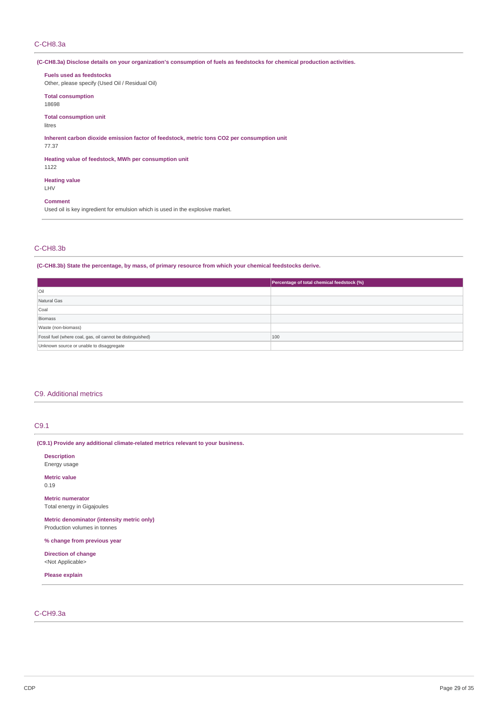# C-CH8.3a

(C-CH8.3a) Disclose details on your organization's consumption of fuels as feedstocks for chemical production activities.

## **Fuels used as feedstocks**

Other, please specify (Used Oil / Residual Oil)

# **Total consumption**

18698

# **Total consumption unit**

litres

## **Inherent carbon dioxide emission factor of feedstock, metric tons CO2 per consumption unit**

### 77.37

**Heating value of feedstock, MWh per consumption unit**

1122

#### **Heating value** LHV

**Comment**

Used oil is key ingredient for emulsion which is used in the explosive market.

## C-CH8.3b

# **(C-CH8.3b) State the percentage, by mass, of primary resource from which your chemical feedstocks derive.**

|                                                            | Percentage of total chemical feedstock (%) |
|------------------------------------------------------------|--------------------------------------------|
| Oil                                                        |                                            |
| Natural Gas                                                |                                            |
| Coal                                                       |                                            |
| Biomass                                                    |                                            |
| Waste (non-biomass)                                        |                                            |
| Fossil fuel (where coal, gas, oil cannot be distinguished) | 100                                        |
| Unknown source or unable to disaggregate                   |                                            |

## C9. Additional metrics

# C9.1

## **(C9.1) Provide any additional climate-related metrics relevant to your business.**

**Description** Energy usage **Metric value** 0.19 **Metric numerator** Total energy in Gigajoules **Metric denominator (intensity metric only)** Production volumes in tonnes **% change from previous year Direction of change** <Not Applicable> **Please explain**

# C-CH9.3a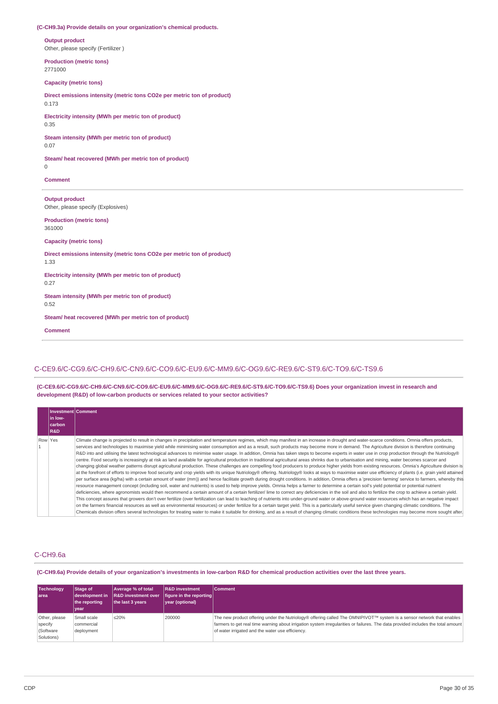## **(C-CH9.3a) Provide details on your organization's chemical products.**

**Output product** Other, please specify (Fertilizer )

**Production (metric tons)** 2771000

## **Capacity (metric tons)**

**Direct emissions intensity (metric tons CO2e per metric ton of product)** 0.173

**Electricity intensity (MWh per metric ton of product)** 0.35

**Steam intensity (MWh per metric ton of product)** 0.07

**Steam/ heat recovered (MWh per metric ton of product)**

 $\Omega$ 

**Comment**

**Output product** Other, please specify (Explosives)

**Production (metric tons)** 361000

**Capacity (metric tons)**

**Direct emissions intensity (metric tons CO2e per metric ton of product)** 1.33

**Electricity intensity (MWh per metric ton of product)** 0.27

**Steam intensity (MWh per metric ton of product)**

0.52

**Steam/ heat recovered (MWh per metric ton of product)**

**Comment**

# C-CE9.6/C-CG9.6/C-CH9.6/C-CN9.6/C-CO9.6/C-EU9.6/C-MM9.6/C-OG9.6/C-RE9.6/C-ST9.6/C-TO9.6/C-TS9.6

**(C-CE9.6/C-CG9.6/C-CH9.6/C-CN9.6/C-CO9.6/C-EU9.6/C-MM9.6/C-OG9.6/C-RE9.6/C-ST9.6/C-TO9.6/C-TS9.6) Does your organization invest in research and development (R&D) of low-carbon products or services related to your sector activities?**

|         | <b>Investment Comment</b> |                                                                                                                                                                                                                                                                                                                                                                                                                                                                                                                                                                                                                                                                                                                                                                                                                                                                                                                                                                                                                                                                                                                                                                                                                                                                                                                                                                                                                                                                                                                                                                                                                                                                                                                                                                                                                                                                                                                                                                                                                                                                                                                                                                                                                                                                                                                                                                                                                                                        |
|---------|---------------------------|--------------------------------------------------------------------------------------------------------------------------------------------------------------------------------------------------------------------------------------------------------------------------------------------------------------------------------------------------------------------------------------------------------------------------------------------------------------------------------------------------------------------------------------------------------------------------------------------------------------------------------------------------------------------------------------------------------------------------------------------------------------------------------------------------------------------------------------------------------------------------------------------------------------------------------------------------------------------------------------------------------------------------------------------------------------------------------------------------------------------------------------------------------------------------------------------------------------------------------------------------------------------------------------------------------------------------------------------------------------------------------------------------------------------------------------------------------------------------------------------------------------------------------------------------------------------------------------------------------------------------------------------------------------------------------------------------------------------------------------------------------------------------------------------------------------------------------------------------------------------------------------------------------------------------------------------------------------------------------------------------------------------------------------------------------------------------------------------------------------------------------------------------------------------------------------------------------------------------------------------------------------------------------------------------------------------------------------------------------------------------------------------------------------------------------------------------------|
|         | l in Iow-<br>carbon       |                                                                                                                                                                                                                                                                                                                                                                                                                                                                                                                                                                                                                                                                                                                                                                                                                                                                                                                                                                                                                                                                                                                                                                                                                                                                                                                                                                                                                                                                                                                                                                                                                                                                                                                                                                                                                                                                                                                                                                                                                                                                                                                                                                                                                                                                                                                                                                                                                                                        |
|         | R&D                       |                                                                                                                                                                                                                                                                                                                                                                                                                                                                                                                                                                                                                                                                                                                                                                                                                                                                                                                                                                                                                                                                                                                                                                                                                                                                                                                                                                                                                                                                                                                                                                                                                                                                                                                                                                                                                                                                                                                                                                                                                                                                                                                                                                                                                                                                                                                                                                                                                                                        |
| Row Yes |                           | Climate change is projected to result in changes in precipitation and temperature regimes, which may manifest in an increase in drought and water-scarce conditions. Omnia offers products,<br>services and technologies to maximise yield while minimising water consumption and as a result, such products may become more in demand. The Agriculture division is therefore continuing<br>R&D into and utilising the latest technological advances to minimise water usage. In addition, Omnia has taken steps to become experts in water use in crop production through the Nutriology®<br>centre. Food security is increasingly at risk as land available for agricultural production in traditional agricultural areas shrinks due to urbanisation and mining, water becomes scarcer and<br>changing global weather patterns disrupt agricultural production. These challenges are compelling food producers to produce higher yields from existing resources. Omnia's Agriculture division is<br>at the forefront of efforts to improve food security and crop yields with its unique Nutriology® offering. Nutriology® looks at ways to maximise water use efficiency of plants (i.e. grain yield attained<br>per surface area (kg/ha) with a certain amount of water (mm)) and hence facilitate growth during drought conditions. In addition, Omnia offers a 'precision farming' service to farmers, whereby this<br>resource management concept (including soil, water and nutrients) is used to help improve yields. Omnia helps a farmer to determine a certain soil's yield potential or potential nutrient<br>deficiencies, where agronomists would then recommend a certain amount of a certain fertilizer/ lime to correct any deficiencies in the soil and also to fertilize the crop to achieve a certain yield.<br>This concept assures that growers don't over fertilize (over fertilization can lead to leaching of nutrients into under-ground water or above-ground water resources which has an negative impact<br>on the farmers financial resources as well as environmental resources) or under fertilize for a certain target yield. This is a particularly useful service given changing climatic conditions. The<br>Chemicals division offers several technologies for treating water to make it suitable for drinking, and as a result of changing climatic conditions these technologies may become more sought after. |

# C-CH9.6a

(C-CH9.6a) Provide details of your organization's investments in low-carbon R&D for chemical production activities over the last three years.

| <b>Technology</b><br>larea                          | Stage of<br>development in<br>the reportina<br>year | Average % of total<br><b>R&amp;D</b> investment over<br>the last 3 years | <b>R&amp;D</b> investment<br>figure in the reporting<br>vear (optional) | <b>Comment</b>                                                                                                                                                                                                                                                                                                |
|-----------------------------------------------------|-----------------------------------------------------|--------------------------------------------------------------------------|-------------------------------------------------------------------------|---------------------------------------------------------------------------------------------------------------------------------------------------------------------------------------------------------------------------------------------------------------------------------------------------------------|
| Other, please<br>specify<br>(Software<br>Solutions) | Small scale<br>commercial<br>deployment             | ≤20%                                                                     | 200000                                                                  | The new product offering under the Nutriology® offering called The OMNIPIVOT™ system is a sensor network that enables<br>farmers to get real time warning about irrigation system irregularities or failures. The data provided includes the total amount<br>of water irrigated and the water use efficiency. |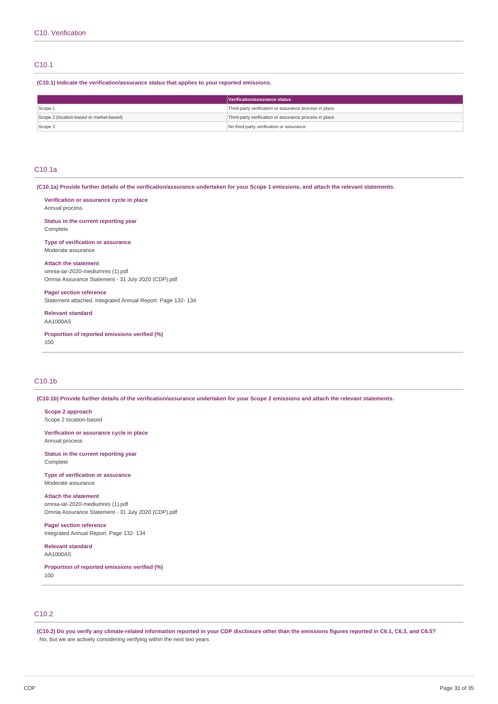## C10.1

**(C10.1) Indicate the verification/assurance status that applies to your reported emissions.**

|                                          | Verification/assurance status                          |
|------------------------------------------|--------------------------------------------------------|
| Scope 1                                  | Third-party verification or assurance process in place |
| Scope 2 (location-based or market-based) | Third-party verification or assurance process in place |
| Scope 3                                  | No third-party verification or assurance               |

# C10.1a

(C10.1a) Provide further details of the verification/assurance undertaken for your Scope 1 emissions, and attach the relevant statements.

**Verification or assurance cycle in place**

Annual process

**Status in the current reporting year** Complete

**Type of verification or assurance** Moderate assurance

**Attach the statement** omnia-iar-2020-mediumres (1).pdf Omnia Assurance Statement - 31 July 2020 (CDP).pdf

**Page/ section reference** Statement attached. Integrated Annual Report. Page 132- 134

**Relevant standard** AA1000AS

**Proportion of reported emissions verified (%)** 100

# C10.1b

(C10.1b) Provide further details of the verification/assurance undertaken for your Scope 2 emissions and attach the relevant statements.

**Scope 2 approach** Scope 2 location-based

**Verification or assurance cycle in place** Annual process

**Status in the current reporting year** Complete

**Type of verification or assurance** Moderate assurance

**Attach the statement** omnia-iar-2020-mediumres (1).pdf

Omnia Assurance Statement - 31 July 2020 (CDP).pdf

**Page/ section reference** Integrated Annual Report. Page 132- 134

**Relevant standard** AA1000AS

**Proportion of reported emissions verified (%)** 100

# C10.2

(C10.2) Do you verify any climate-related information reported in your CDP disclosure other than the emissions figures reported in C6.1, C6.3, and C6.5? No, but we are actively considering verifying within the next two years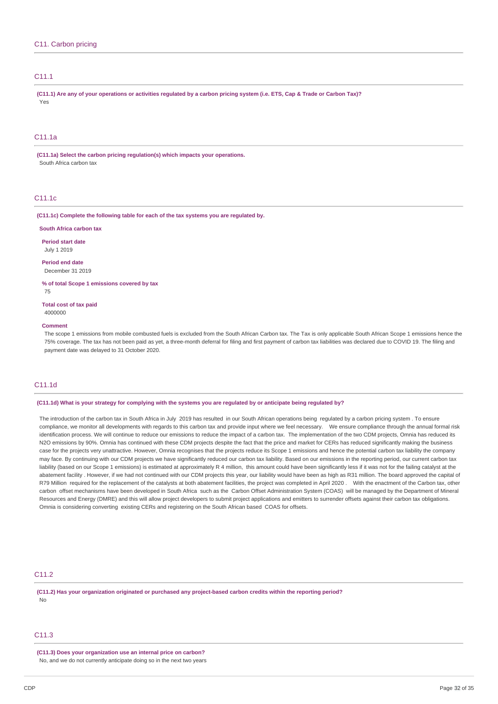# C<sub>11</sub>1

(C11.1) Are any of your operations or activities regulated by a carbon pricing system (i.e. ETS, Cap & Trade or Carbon Tax)? Yes

# C11.1a

**(C11.1a) Select the carbon pricing regulation(s) which impacts your operations.** South Africa carbon tax

# C11.1c

**(C11.1c) Complete the following table for each of the tax systems you are regulated by.**

#### **South Africa carbon tax**

**Period start date** July 1 2019

**Period end date** December 31 2019

**% of total Scope 1 emissions covered by tax**

75

**Total cost of tax paid** 4000000

### **Comment**

The scope 1 emissions from mobile combusted fuels is excluded from the South African Carbon tax. The Tax is only applicable South African Scope 1 emissions hence the 75% coverage. The tax has not been paid as yet, a three-month deferral for filing and first payment of carbon tax liabilities was declared due to COVID 19. The filing and payment date was delayed to 31 October 2020.

# C11.1d

#### (C11.1d) What is your strategy for complying with the systems you are regulated by or anticipate being regulated by?

The introduction of the carbon tax in South Africa in July 2019 has resulted in our South African operations being regulated by a carbon pricing system . To ensure compliance, we monitor all developments with regards to this carbon tax and provide input where we feel necessary. We ensure compliance through the annual formal risk identification process. We will continue to reduce our emissions to reduce the impact of a carbon tax. The implementation of the two CDM projects, Omnia has reduced its N2O emissions by 90%. Omnia has continued with these CDM projects despite the fact that the price and market for CERs has reduced significantly making the business case for the projects very unattractive. However, Omnia recognises that the projects reduce its Scope 1 emissions and hence the potential carbon tax liability the company may face. By continuing with our CDM projects we have significantly reduced our carbon tax liability. Based on our emissions in the reporting period, our current carbon tax liability (based on our Scope 1 emissions) is estimated at approximately R 4 million, this amount could have been significantly less if it was not for the failing catalyst at the abatement facility . However, if we had not continued with our CDM projects this year, our liability would have been as high as R31 million. The board approved the capital of R79 Million required for the replacement of the catalysts at both abatement facilities, the project was completed in April 2020. With the enactment of the Carbon tax, other carbon offset mechanisms have been developed in South Africa such as the Carbon Offset Administration System (COAS) will be managed by the Department of Mineral Resources and Energy (DMRE) and this will allow project developers to submit project applications and emitters to surrender offsets against their carbon tax obligations. Omnia is considering converting existing CERs and registering on the South African based COAS for offsets.

## C<sub>11.2</sub>

**(C11.2) Has your organization originated or purchased any project-based carbon credits within the reporting period?** No

### C<sub>11</sub>.3

**(C11.3) Does your organization use an internal price on carbon?** No, and we do not currently anticipate doing so in the next two years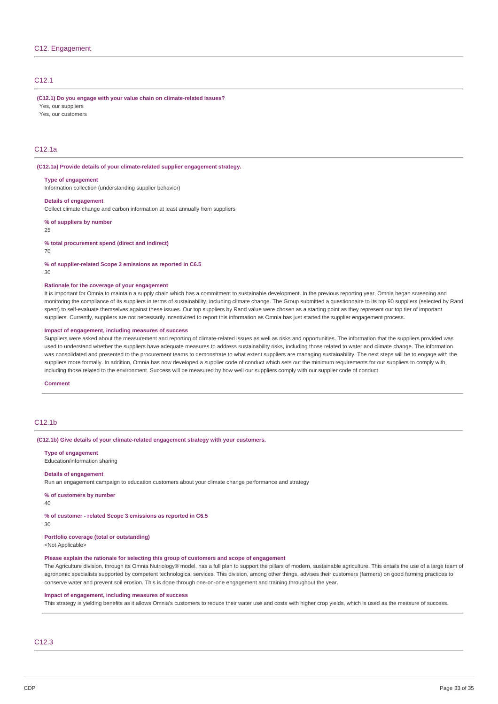# C12.1

**(C12.1) Do you engage with your value chain on climate-related issues?**

Yes, our suppliers

Yes, our customers

# C12.1a

**(C12.1a) Provide details of your climate-related supplier engagement strategy.**

#### **Type of engagement**

**Details of engagement**

Information collection (understanding supplier behavior)

Collect climate change and carbon information at least annually from suppliers

**% of suppliers by number**

25

**% total procurement spend (direct and indirect)**

70

**% of supplier-related Scope 3 emissions as reported in C6.5**

30

#### **Rationale for the coverage of your engagement**

It is important for Omnia to maintain a supply chain which has a commitment to sustainable development. In the previous reporting year, Omnia began screening and monitoring the compliance of its suppliers in terms of sustainability, including climate change. The Group submitted a questionnaire to its top 90 suppliers (selected by Rand spent) to self-evaluate themselves against these issues. Our top suppliers by Rand value were chosen as a starting point as they represent our top tier of important suppliers. Currently, suppliers are not necessarily incentivized to report this information as Omnia has just started the supplier engagement process.

#### **Impact of engagement, including measures of success**

Suppliers were asked about the measurement and reporting of climate-related issues as well as risks and opportunities. The information that the suppliers provided was used to understand whether the suppliers have adequate measures to address sustainability risks, including those related to water and climate change. The information was consolidated and presented to the procurement teams to demonstrate to what extent suppliers are managing sustainability. The next steps will be to engage with the suppliers more formally. In addition, Omnia has now developed a supplier code of conduct which sets out the minimum requirements for our suppliers to comply with, including those related to the environment. Success will be measured by how well our suppliers comply with our supplier code of conduct

#### **Comment**

# C12.1b

**(C12.1b) Give details of your climate-related engagement strategy with your customers.**

**Type of engagement** Education/information sharing

## **Details of engagement**

Run an engagement campaign to education customers about your climate change performance and strategy

**% of customers by number**

40

# **% of customer - related Scope 3 emissions as reported in C6.5**

30

# **Portfolio coverage (total or outstanding)**

<Not Applicable>

## **Please explain the rationale for selecting this group of customers and scope of engagement**

The Agriculture division, through its Omnia Nutriology® model, has a full plan to support the pillars of modern, sustainable agriculture. This entails the use of a large team of agronomic specialists supported by competent technological services. This division, among other things, advises their customers (farmers) on good farming practices to conserve water and prevent soil erosion. This is done through one-on-one engagement and training throughout the year.

## **Impact of engagement, including measures of success**

This strategy is yielding benefits as it allows Omnia's customers to reduce their water use and costs with higher crop yields, which is used as the measure of success.

# C12.3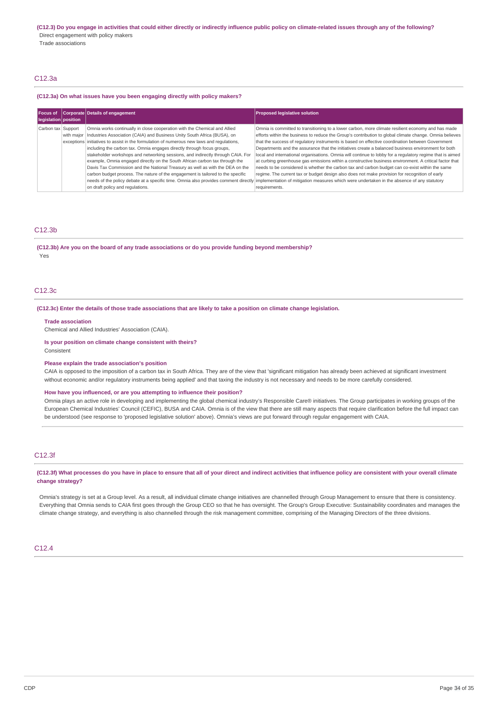Trade associations

# C12.3a

## **(C12.3a) On what issues have you been engaging directly with policy makers?**

| legislation position | Focus of Corporate Details of engagement                                                                                                                                                                                                                                                                                                                                                                                                                                                                                                                                                                                                                                        | <b>Proposed legislative solution</b>                                                                                                                                                                                                                                                                                                                                                                                                                                                                                                                                                                                                                                                                                                                                                                                                                                                                                                                                                                                                   |
|----------------------|---------------------------------------------------------------------------------------------------------------------------------------------------------------------------------------------------------------------------------------------------------------------------------------------------------------------------------------------------------------------------------------------------------------------------------------------------------------------------------------------------------------------------------------------------------------------------------------------------------------------------------------------------------------------------------|----------------------------------------------------------------------------------------------------------------------------------------------------------------------------------------------------------------------------------------------------------------------------------------------------------------------------------------------------------------------------------------------------------------------------------------------------------------------------------------------------------------------------------------------------------------------------------------------------------------------------------------------------------------------------------------------------------------------------------------------------------------------------------------------------------------------------------------------------------------------------------------------------------------------------------------------------------------------------------------------------------------------------------------|
| Carbon tax Support   | Omnia works continually in close cooperation with the Chemical and Allied<br>with major   Industries Association (CAIA) and Business Unity South Africa (BUSA), on<br>exceptions initiatives to assist in the formulation of numerous new laws and regulations,<br>including the carbon tax. Omnia engages directly through focus groups,<br>stakeholder workshops and networking sessions, and indirectly through CAIA. For<br>example, Omnia engaged directly on the South African carbon tax through the<br>Davis Tax Commission and the National Treasury as well as with the DEA on the<br>carbon budget process. The nature of the engagement is tailored to the specific | Omnia is committed to transitioning to a lower carbon, more climate resilient economy and has made<br>efforts within the business to reduce the Group's contribution to global climate change. Omnia believes<br>that the success of requlatory instruments is based on effective coordination between Government<br>Departments and the assurance that the initiatives create a balanced business environment for both<br>local and international organisations. Omnia will continue to lobby for a regulatory regime that is aimed<br>at curbing greenhouse gas emissions within a constructive business environment. A critical factor that<br>needs to be considered is whether the carbon tax and carbon budget can co-exist within the same<br>regime. The current tax or budget design also does not make provision for recognition of early<br>needs of the policy debate at a specific time. Omnia also provides comment directly implementation of mitigation measures which were undertaken in the absence of any statutory |
|                      | on draft policy and regulations.                                                                                                                                                                                                                                                                                                                                                                                                                                                                                                                                                                                                                                                | requirements.                                                                                                                                                                                                                                                                                                                                                                                                                                                                                                                                                                                                                                                                                                                                                                                                                                                                                                                                                                                                                          |

# C12.3b

**(C12.3b) Are you on the board of any trade associations or do you provide funding beyond membership?** Yes

#### C12.3c

### (C12.3c) Enter the details of those trade associations that are likely to take a position on climate change legislation.

**Trade association**

Chemical and Allied Industries' Association (CAIA).

#### **Is your position on climate change consistent with theirs?** Consistent

#### **Please explain the trade association's position**

CAIA is opposed to the imposition of a carbon tax in South Africa. They are of the view that 'significant mitigation has already been achieved at significant investment without economic and/or regulatory instruments being applied' and that taxing the industry is not necessary and needs to be more carefully considered.

#### **How have you influenced, or are you attempting to influence their position?**

Omnia plays an active role in developing and implementing the global chemical industry's Responsible Care® initiatives. The Group participates in working groups of the European Chemical Industries' Council (CEFIC), BUSA and CAIA. Omnia is of the view that there are still many aspects that require clarification before the full impact can be understood (see response to 'proposed legislative solution' above). Omnia's views are put forward through regular engagement with CAIA.

## C12.3f

(C12.3f) What processes do you have in place to ensure that all of your direct and indirect activities that influence policy are consistent with your overall climate **change strategy?**

Omnia's strategy is set at a Group level. As a result, all individual climate change initiatives are channelled through Group Management to ensure that there is consistency. Everything that Omnia sends to CAIA first goes through the Group CEO so that he has oversight. The Group's Group Executive: Sustainability coordinates and manages the climate change strategy, and everything is also channelled through the risk management committee, comprising of the Managing Directors of the three divisions.

# $C12A$